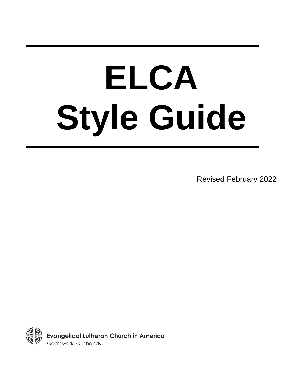# **ELCA Style Guide**

Revised February 2022

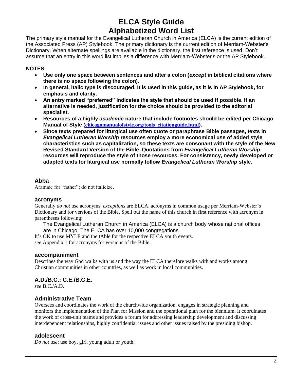# **ELCA Style Guide Alphabetized Word List**

The primary style manual for the Evangelical Lutheran Church in America (ELCA) is the current edition of the Associated Press (AP) Stylebook. The primary dictionary is the current edition of Merriam-Webster's Dictionary. When alternate spellings are available in the dictionary, the first reference is used. Don't assume that an entry in this word list implies a difference with Merriam-Webster's or the AP Stylebook.

## **NOTES:**

- **Use only one space between sentences and after a colon (***except* **in biblical citations where there is no space following the colon).**
- **In general, italic type is discouraged. It is used in this guide, as it is in AP Stylebook, for emphasis and clarity.**
- **An entry marked "preferred" indicates the style that should be used if possible. If an alternative is needed, justification for the choice should be provided to the editorial specialist.**
- **Resources of a highly** *academic* **nature that include footnotes should be edited per Chicago Manual of Style ([chicagomanualofstyle.org/tools\\_citationguide.html](http://www.chicagomanualofstyle.org/tools_citationguide.html)).**
- **Since texts prepared for liturgical use often quote or paraphrase Bible passages, texts in**  *Evangelical Lutheran Worship* **resources employ a more economical use of added style characteristics such as capitalization, so these texts are consonant with the style of the New Revised Standard Version of the Bible. Quotations from** *Evangelical Lutheran Worship* **resources will reproduce the style of those resources. For consistency, newly developed or adapted texts for liturgical use normally follow** *Evangelical Lutheran Worship* **style.**

## **Abba**

Aramaic for "father"; do not italicize.

## **acronyms**

Generally *do not use* acronyms, *exceptions* are ELCA, acronyms in common usage per Merriam-Webster's Dictionary and for versions of the Bible. Spell out the name of this church in first reference with acronym in parentheses following:

The Evangelical Lutheran Church in America (ELCA) is a church body whose national offices are in Chicago. The ELCA has over 10,000 congregations.

It's OK to use MYLE and the tAble for the respective ELCA youth events. *see* Appendix 1 for acronyms for versions of the Bible.

## **accompaniment**

Describes the way God walks with us and the way the ELCA therefore walks with and works among Christian communities in other countries, as well as work in local communities.

# **A.D./B.C.; C.E./B.C.E.**

*see* B.C./A.D.

# **Administrative Team**

Oversees and coordinates the work of the churchwide organization, engages in strategic planning and monitors the implementation of the Plan for Mission and the operational plan for the biennium. It coordinates the work of cross-unit teams and provides a forum for addressing leadership development and discussing interdependent relationships, highly confidential issues and other issues raised by the presiding bishop.

## **adolescent**

*Do not use*; use boy, girl, young adult or youth.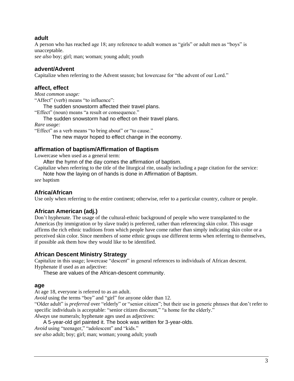## **adult**

A person who has reached age 18; any reference to adult women as "girls" or adult men as "boys" is unacceptable.

*see also* boy; girl; man; woman; young adult; youth

## **advent/Advent**

Capitalize when referring to the Advent season; but lowercase for "the advent of our Lord."

## **affect, effect**

*Most common usage:* "Affect" (verb) means "to influence":

The sudden snowstorm affected their travel plans.

"Effect" (noun) means "a result or consequence."

The sudden snowstorm had no effect on their travel plans.

*Rare usage:*

"Effect" as a verb means "to bring about" or "to cause."

The new mayor hoped to effect change in the economy.

## **affirmation of baptism/Affirmation of Baptism**

Lowercase when used as a general term:

After the hymn of the day comes the affirmation of baptism.

Capitalize when referring to the title of the liturgical rite, usually including a page citation for the service: Note how the laying on of hands is done in Affirmation of Baptism.

*see* baptism

## **Africa/African**

Use only when referring to the entire continent; otherwise, refer to a particular country, culture or people.

# **African American (adj.)**

Don't hyphenate. The usage of the cultural-ethnic background of people who were transplanted to the Americas (by immigration or by slave trade) is preferred, rather than referencing skin color. This usage affirms the rich ethnic traditions from which people have come rather than simply indicating skin color or a perceived skin color. Since members of some ethnic groups use different terms when referring to themselves, if possible ask them how they would like to be identified.

## **African Descent Ministry Strategy**

Capitalize in this usage; lowercase "descent" in general references to individuals of African descent. Hyphenate if used as an adjective:

These are values of the African-descent community.

## **age**

At age 18, everyone is referred to as an adult.

*Avoid* using the terms "boy" and "girl" for anyone older than 12.

"Older adult" is *preferred* over "elderly" or "senior citizen"; but their use in generic phrases that don't refer to specific individuals is acceptable: "senior citizen discount," "a home for the elderly."

*Always* use numerals; hyphenate ages used as adjectives:

A 5-year-old girl painted it. The book was written for 3-year-olds.

*Avoid* using "teenager," "adolescent" and "kids."

*see also* adult; boy; girl; man; woman; young adult; youth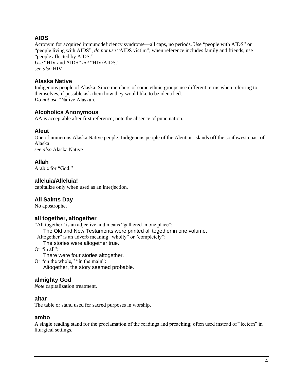# **AIDS**

Acronym for acquired immunodeficiency syndrome—all caps, no periods. Use "people with AIDS" or "people living with AIDS"; *do not use* "AIDS victim"; when reference includes family and friends, use "people affected by AIDS." *Use* "HIV and AIDS" *not* "HIV/AIDS." s*ee also* HIV

## **Alaska Native**

Indigenous people of Alaska. Since members of some ethnic groups use different terms when referring to themselves, if possible ask them how they would like to be identified. *Do not use* "Native Alaskan."

## **Alcoholics Anonymous**

AA is acceptable after first reference; note the absence of punctuation.

## **Aleut**

One of numerous Alaska Native people; Indigenous people of the Aleutian Islands off the southwest coast of Alaska. *see also* Alaska Native

## **Allah**

Arabic for "God."

## **alleluia/Alleluia!**

capitalize only when used as an interjection.

# **All Saints Day**

No apostrophe.

# **all together, altogether**

"All together" is an adjective and means "gathered in one place":

The Old and New Testaments were printed all together in one volume.

"Altogether" is an adverb meaning "wholly" or "completely":

The stories were altogether true.

Or "in all":

There were four stories altogether.

Or "on the whole," "in the main": Altogether, the story seemed probable.

# **almighty God**

*Note* capitalization treatment.

## **altar**

The table or stand used for sacred purposes in worship.

## **ambo**

A single reading stand for the proclamation of the readings and preaching; often used instead of "lectern" in liturgical settings.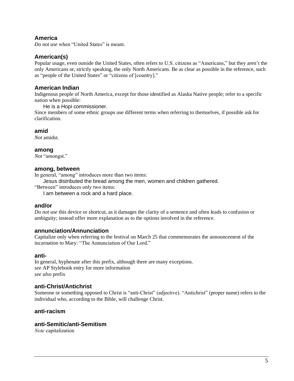## **America**

*Do not use* when "United States" is meant.

## **American(s)**

Popular usage, even outside the United States, often refers to U.S. citizens as "Americans," but they aren't the only Americans or, strictly speaking, the only North Americans. Be as clear as possible in the reference, such as "people of the United States" or "citizens of [country]."

## **American Indian**

Indigenous people of North America, except for those identified as Alaska Native people; refer to a specific nation when possible:

He is a Hopi commissioner.

Since members of some ethnic groups use different terms when referring to themselves, if possible ask for clarification.

## **amid**

*Not* amidst.

**among**

*Not* "amongst."

## **among, between**

In general, "among" introduces more than two items:

Jesus distributed the bread among the men, women and children gathered.

"Between" introduces only two items:

I am between a rock and a hard place.

## **and/or**

*Do not use* this device or shortcut, as it damages the clarity of a sentence and often leads to confusion or ambiguity; instead offer more explanation as to the options involved in the reference.

## **annunciation/Annunciation**

Capitalize only when referring to the festival on March 25 that commemorates the announcement of the incarnation to Mary: "The Annunciation of Our Lord."

## **anti-**

In general, hyphenate after this prefix, although there are many exceptions. *see* AP Stylebook entry for more information *see also* prefix

## **anti-Christ/Antichrist**

Someone or something opposed to Christ is "anti-Christ" (adjective). "Antichrist" (proper name) refers to the individual who, according to the Bible, will challenge Christ.

## **anti-racism**

## **anti-Semitic/anti-Semitism**

*Note* capitalization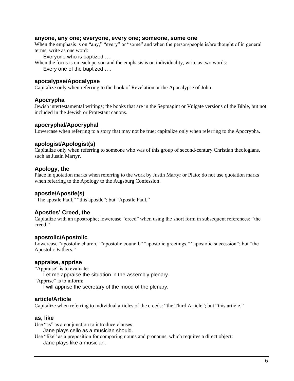#### **anyone, any one; everyone, every one; someone, some one**

When the emphasis is on "any," "every" or "some" and when the person/people is/are thought of in general terms, write as one word:

Everyone who is baptized ….

When the focus is on each person and the emphasis is on individuality, write as two words: Every one of the baptized ….

## **apocalypse/Apocalypse**

Capitalize only when referring to the book of Revelation or the Apocalypse of John.

## **Apocrypha**

Jewish intertestamental writings; the books that are in the Septuagint or Vulgate versions of the Bible, but not included in the Jewish or Protestant canons.

#### **apocryphal/Apocryphal**

Lowercase when referring to a story that may not be true; capitalize only when referring to the Apocrypha.

#### **apologist/Apologist(s)**

Capitalize only when referring to someone who was of this group of second-century Christian theologians, such as Justin Martyr.

## **Apology, the**

Place in quotation marks when referring to the work by Justin Martyr or Plato; do not use quotation marks when referring to the Apology to the Augsburg Confession.

## **apostle/Apostle(s)**

"The apostle Paul," "this apostle"; but "Apostle Paul."

## **Apostles' Creed, the**

Capitalize with an apostrophe; lowercase "creed" when using the short form in subsequent references: "the creed."

#### **apostolic/Apostolic**

Lowercase "apostolic church," "apostolic council," "apostolic greetings," "apostolic succession"; but "the Apostolic Fathers."

#### **appraise, apprise**

"Appraise" is to evaluate:

Let me appraise the situation in the assembly plenary.

"Apprise" is to inform:

I will apprise the secretary of the mood of the plenary.

#### **article/Article**

Capitalize when referring to individual articles of the creeds: "the Third Article"; but "this article."

#### **as, like**

Use "as" as a conjunction to introduce clauses:

Jane plays cello as a musician should.

Use "like" as a preposition for comparing nouns and pronouns, which requires a direct object: Jane plays like a musician.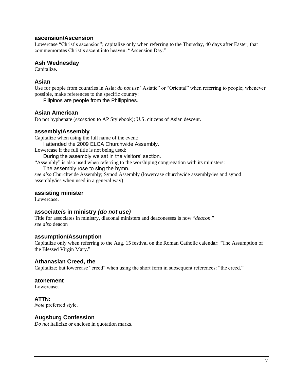## **ascension/Ascension**

Lowercase "Christ's ascension"; capitalize only when referring to the Thursday, 40 days after Easter, that commemorates Christ's ascent into heaven: "Ascension Day."

## **Ash Wednesday**

Capitalize.

## **Asian**

Use for people from countries in Asia; *do not use* "Asiatic" or "Oriental" when referring to people; whenever possible, make references to the specific country:

Filipinos are people from the Philippines.

## **Asian American**

Do not hyphenate (*exception* to AP Stylebook); U.S. citizens of Asian descent.

## **assembly/Assembly**

Capitalize when using the full name of the event: I attended the 2009 ELCA Churchwide Assembly. Lowercase if the full title is not being used:

During the assembly we sat in the visitors' section.

"Assembly" is also used when referring to the worshiping congregation with its ministers:

The assembly rose to sing the hymn.

*see also* Churchwide Assembly; Synod Assembly (lowercase churchwide assembly/ies and synod assembly/ies when used in a general way)

## **assisting minister**

Lowercase.

## **associate/s in ministry** *(do not use)*

Title for associates in ministry, diaconal ministers and deaconesses is now "*deacon*." *see also* deacon

## **assumption/Assumption**

Capitalize only when referring to the Aug. 15 festival on the Roman Catholic calendar: "The Assumption of the Blessed Virgin Mary."

## **Athanasian Creed, the**

Capitalize; but lowercase "creed" when using the short form in subsequent references: "the creed."

## **atonement**

Lowercase.

**ATTN:** *Note* preferred style.

## **Augsburg Confession**

*Do not* italicize or enclose in quotation marks.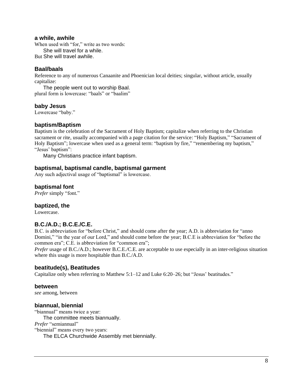#### **a while, awhile**

When used with "for," write as two words: She will travel for a while.

But She will travel awhile.

## **Baal/baals**

Reference to any of numerous Canaanite and Phoenician local deities; singular, without article, usually capitalize:

The people went out to worship Baal. plural form is lowercase: "baals" or "baalim"

## **baby Jesus**

Lowercase "baby."

## **baptism/Baptism**

Baptism is the celebration of the Sacrament of Holy Baptism; capitalize when referring to the Christian sacrament or rite, usually accompanied with a page citation for the service: "Holy Baptism," "Sacrament of Holy Baptism"; lowercase when used as a general term: "baptism by fire," "remembering my baptism," "Jesus' baptism":

Many Christians practice infant baptism.

## **baptismal, baptismal candle, baptismal garment**

Any such adjectival usage of "baptismal" is lowercase.

## **baptismal font**

*Prefer* simply "font."

## **baptized, the**

Lowercase.

## **B.C./A.D.; B.C.E./C.E.**

B.C. is abbreviation for "before Christ," and should come after the year; A.D. is abbreviation for "anno Domini," "in the year of our Lord," and should come before the year; B.C.E is abbreviation for "before the common era"; C.E. is abbreviation for "common era";

*Prefer* usage of B.C./A.D.; however B.C.E./C.E. are acceptable to use especially in an inter-religious situation where this usage is more hospitable than B.C./A.D.

## **beatitude(s), Beatitudes**

Capitalize only when referring to Matthew 5:1–12 and Luke 6:20–26; but "Jesus' beatitudes."

## **between**

*see* among, between

## **biannual, biennial**

"biannual" means twice a year: The committee meets biannually. *Prefer* "semiannual" "biennial" means every two years: The ELCA Churchwide Assembly met biennially.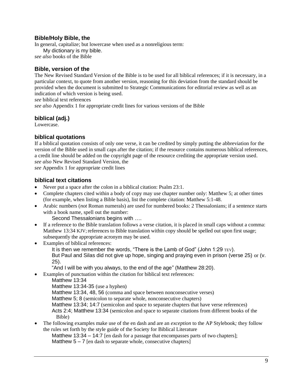## **Bible/Holy Bible, the**

In general, capitalize; but lowercase when used as a nonreligious term:

My dictionary is my bible.

*see also* books of the Bible

## **Bible, version of the**

The New Revised Standard Version of the Bible is to be used for all biblical references; if it is necessary, in a particular context, to quote from another version, reasoning for this deviation from the standard should be provided when the document is submitted to Strategic Communications for editorial review as well as an indication of which version is being used.

*see* biblical text references

*see also* Appendix 1 for appropriate credit lines for various versions of the Bible

## **biblical (adj.)**

Lowercase.

## **biblical quotations**

If a biblical quotation consists of only one verse, it can be credited by simply putting the abbreviation for the version of the Bible used in small caps after the citation; if the resource contains numerous biblical references, a credit line should be added on the copyright page of the resource crediting the appropriate version used. *see also* New Revised Standard Version, the

*see* Appendix 1 for appropriate credit lines

## **biblical text citations**

- Never put a space after the colon in a biblical citation: Psalm 23:1.
- Complete chapters cited within a body of copy may use chapter number only: Matthew 5; at other times (for example, when listing a Bible basis), list the complete citation: Matthew 5:1-48.
- Arabic numbers (*not* Roman numerals) are used for numbered books: 2 Thessalonians; if a sentence starts with a book name, spell out the number:

Second Thessalonians begins with ….

- If a reference to the Bible translation follows a verse citation, it is placed in small caps without a comma: Matthew 13:34 KJV; references to Bible translation within copy should be spelled out upon first usage; subsequently the appropriate acronym may be used.
- Examples of biblical references:

It is then we remember the words, "There is the Lamb of God" (John 1:29 TEV). But Paul and Silas did not give up hope, singing and praying even in prison (verse 25) or (v. 25).

"And I will be with you always, to the end of the age" (Matthew 28:20).

- Examples of punctuation within the citation for biblical text references:
	- Matthew 13:34

Matthew 13:34-35 (use a hyphen)

Matthew 13:34, 48, 56 (comma and space between nonconsecutive verses)

Matthew 5; 8 (semicolon to separate whole, nonconsecutive chapters)

Matthew 13:34; 14:7 (semicolon and space to separate chapters that have verse references)

Acts 2:4; Matthew 13:34 (semicolon and space to separate citations from different books of the Bible)

• The following examples make use of the en dash and are an *exception* to the AP Stylebook*;* they follow the rules set forth by the style guide of the Society for Biblical Literature

Matthew 13:34 – 14:7 [en dash for a passage that encompasses parts of two chapters];

Matthew  $5 - 7$  [en dash to separate whole, consecutive chapters]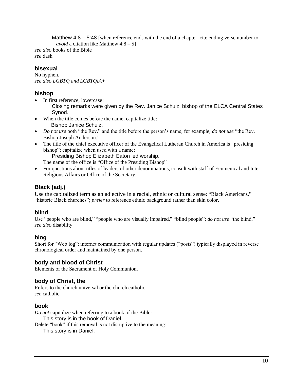Matthew  $4:8 - 5:48$  [when reference ends with the end of a chapter, cite ending verse number to *avoid* a citation like Matthew  $4:8-5$ ]

*see also* books of the Bible *see* dash

# **bisexual**

No hyphen. *see also LGBTQ and LGBTQIA+*

# **bishop**

• In first reference, lowercase:

Closing remarks were given by the Rev. Janice Schulz, bishop of the ELCA Central States Synod.

- When the title comes before the name, capitalize title: Bishop Janice Schulz.
- *Do not use* both "the Rev." and the title before the person's name, for example, *do not use* "the Rev. Bishop Joseph Anderson."
- The title of the chief executive officer of the Evangelical Lutheran Church in America is "presiding" bishop"; capitalize when used with a name:

Presiding Bishop Elizabeth Eaton led worship. The name of the office is "Office of the Presiding Bishop"

• For questions about titles of leaders of other denominations, consult with staff of Ecumenical and Inter-Religious Affairs or Office of the Secretary.

# **Black (adj.)**

Use the capitalized term as an adjective in a racial, ethnic or cultural sense: "Black Americans," "historic Black churches"; *prefer* to reference ethnic background rather than skin color.

# **blind**

Use "people who are blind," "people who are visually impaired," "blind people"; *do not use* "the blind." *see also* disability

# **blog**

Short for "Web log"; internet communication with regular updates ("posts") typically displayed in reverse chronological order and maintained by one person.

# **body and blood of Christ**

Elements of the Sacrament of Holy Communion.

# **body of Christ, the**

Refers to the church universal or the church catholic. *see* catholic

# **book**

*Do not* capitalize when referring to a book of the Bible: This story is in the book of Daniel.

Delete "book" if this removal is not disruptive to the meaning: This story is in Daniel.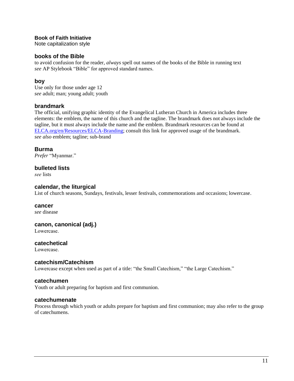## **Book of Faith Initiative**

Note capitalization style

## **books of the Bible**

to avoid confusion for the reader, *always* spell out names of the books of the Bible in running text *see* AP Stylebook "Bible" for approved standard names.

## **boy**

Use only for those under age 12 *see* adult; man; young adult; youth

## **brandmark**

The official, unifying graphic identity of the Evangelical Lutheran Church in America includes three elements: the emblem, the name of this church and the tagline. The brandmark does not always include the tagline, but it must always include the name and the emblem. Brandmark resources can be found at [ELCA.org/en/Resources/ELCA-Branding;](http://www.elca.org/en/Resources/ELCA-Branding) consult this link for approved usage of the brandmark. *see also* emblem; tagline; sub-brand

## **Burma**

*Prefer* "Myanmar."

## **bulleted lists**

*see* lists

## **calendar, the liturgical**

List of church seasons, Sundays, festivals, lesser festivals, commemorations and occasions; lowercase.

#### **cancer**

*see* disease

## **canon, canonical (adj.)**

Lowercase.

## **catechetical**

Lowercase.

## **catechism/Catechism**

Lowercase except when used as part of a title: "the Small Catechism," "the Large Catechism."

## **catechumen**

Youth or adult preparing for baptism and first communion.

#### **catechumenate**

Process through which youth or adults prepare for baptism and first communion; may also refer to the group of catechumens.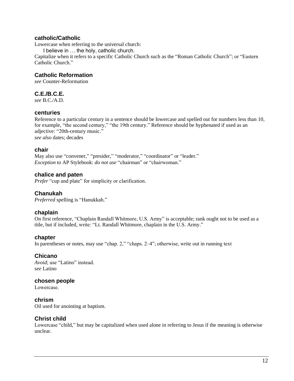## **catholic/Catholic**

Lowercase when referring to the universal church:

I believe in … the holy, catholic church.

Capitalize when it refers to a specific Catholic Church such as the "Roman Catholic Church"; or "Eastern Catholic Church."

## **Catholic Reformation**

*see* Counter-Reformation

## **C.E./B.C.E.**

*see* B.C./A.D.

## **centuries**

Reference to a particular century in a sentence should be lowercase and spelled out for numbers less than 10, for example, "the second century," "the 19th century." Reference should be hyphenated if used as an adjective: "20th-century music." *see also* dates; decades

## **chair**

May also use "convener," "presider," "moderator," "coordinator" or "leader." *Exception to* AP Stylebook: *do not use* "chairman" or "chairwoman."

## **chalice and paten**

*Prefer* "cup and plate" for simplicity or clarification.

## **Chanukah**

*Preferred* spelling is "Hanukkah."

## **chaplain**

On first reference, "Chaplain Randall Whitmore, U.S. Army" is acceptable; rank ought not to be used as a title, but if included, write: "Lt. Randall Whitmore, chaplain in the U.S. Army."

## **chapter**

In parentheses or notes, may use "chap. 2," "chaps. 2–4"; otherwise, write out in running text

## **Chicano**

*Avoid*; use "Latino" instead. *see* Latino

## **chosen people**

Lowercase.

#### **chrism**

Oil used for anointing at baptism.

## **Christ child**

Lowercase "child," but may be capitalized when used alone in referring to Jesus if the meaning is otherwise unclear.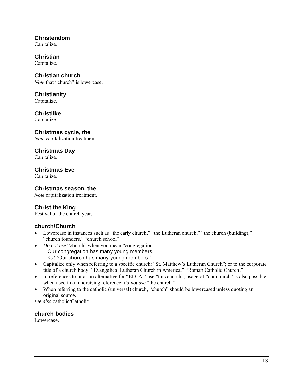**Christendom**  Capitalize.

**Christian**  Capitalize.

**Christian church**  *Note* that "church" is lowercase.

**Christianity**  Capitalize.

**Christlike**  Capitalize.

**Christmas cycle, the**  *Note* capitalization treatment.

**Christmas Day** 

Capitalize.

**Christmas Eve** 

Capitalize.

# **Christmas season, the**

*Note* capitalization treatment.

# **Christ the King**

Festival of the church year.

# **church/Church**

- Lowercase in instances such as "the early church," "the Lutheran church," "the church (building)," "church founders," "church school"
- *Do not use* "church" when you mean "congregation: Our congregation has many young members.  *not* "Our church has many young members."
- Capitalize only when referring to a specific church: "St. Matthew's Lutheran Church"; or to the corporate title of a church body: "Evangelical Lutheran Church in America," "Roman Catholic Church."
- In references to or as an alternative for "ELCA," use "this church"; usage of "our church" is also possible when used in a fundraising reference; *do not use* "the church."
- When referring to the catholic (universal) church, "church" should be lowercased unless quoting an original source.

s*ee also* catholic/Catholic

**church bodies** Lowercase.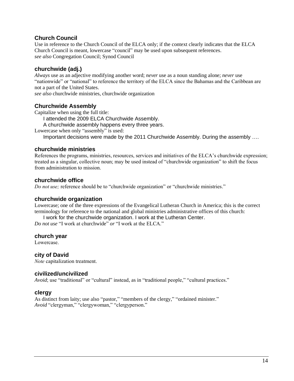## **Church Council**

Use in reference to the Church Council of the ELCA only; if the context clearly indicates that the ELCA Church Council is meant, lowercase "council" may be used upon subsequent references. *see also* Congregation Council; Synod Council

## **churchwide (adj.)**

*Always* use as an adjective modifying another word; *never* use as a noun standing alone; *never* use "nationwide" or "national" to reference the territory of the ELCA since the Bahamas and the Caribbean are not a part of the United States.

*see also* churchwide ministries, churchwide organization

## **Churchwide Assembly**

Capitalize when using the full title:

I attended the 2009 ELCA Churchwide Assembly.

A churchwide assembly happens every three years.

Lowercase when only "assembly" is used:

Important decisions were made by the 2011 Churchwide Assembly. During the assembly ….

## **churchwide ministries**

References the programs, ministries, resources, services and initiatives of the ELCA's churchwide expression; treated as a singular, collective noun; may be used instead of "churchwide organization" to shift the focus from administration to mission.

## **churchwide office**

*Do not use;* reference should be to "churchwide organization" or "churchwide ministries."

## **churchwide organization**

Lowercase; one of the three expressions of the Evangelical Lutheran Church in America; this is the correct terminology for reference to the national and global ministries administrative offices of this church:

I work for the churchwide organization. I work at the Lutheran Center.

*Do not use* "I work at churchwide" *or* "I work at the ELCA."

## **church year**

Lowercase.

## **city of David**

*Note* capitalization treatment.

## **civilized/uncivilized**

*Avoid*; use "traditional" or "cultural" instead, as in "traditional people," "cultural practices."

## **clergy**

As distinct from laity; use also "pastor," "members of the clergy," "ordained minister." *Avoid* "clergyman," "clergywoman," "clergyperson."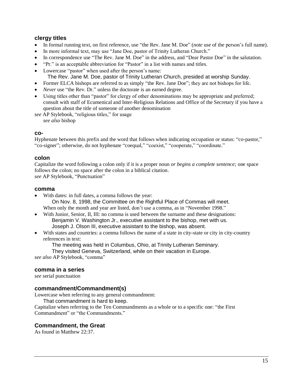## **clergy titles**

- In formal running text, on first reference, use "the Rev. Jane M. Doe" (*note* use of the person's full name).
- In more informal text, may use "Jane Doe, pastor of Trinity Lutheran Church."
- In correspondence use "The Rev. Jane M. Doe" in the address, and "Dear Pastor Doe" in the salutation.
- "Pr." is an acceptable abbreviation for "Pastor" in a list with names and titles.
- Lowercase "pastor" when used after the person's name:
- The Rev. Jane M. Doe, pastor of Trinity Lutheran Church, presided at worship Sunday.
- Former ELCA bishops are referred to as simply "the Rev. Jane Doe"; they are not bishops for life.
- *Never* use "the Rev. Dr." unless the doctorate is an earned degree.
- Using titles other than "pastor" for clergy of other denominations may be appropriate and preferred; consult with staff of Ecumenical and Inter-Religious Relations and Office of the Secretary if you have a question about the title of someone of another denomination

*see* AP Stylebook, "religious titles," for usage

*see also* bishop

#### **co-**

Hyphenate between this prefix and the word that follows when indicating occupation or status: "co-pastor," "co-signer"; otherwise, do not hyphenate "coequal," "coexist," "cooperate," "coordinate."

## **colon**

Capitalize the word following a colon only if it is a proper noun *or begins a complete sentence;* one space follows the colon; no space after the colon in a biblical citation. *see* AP Stylebook, "Punctuation"

#### **comma**

- With dates: in full dates, a comma follows the year: On Nov. 8, 1998, the Committee on the Rightful Place of Commas will meet. When only the month and year are listed, don't use a comma, as in "November 1998."
- With Junior, Senior, II, III: no comma is used between the surname and these designations: Benjamin V. Washington Jr., executive assistant to the bishop, met with us. Joseph J. Olson III, executive assistant to the bishop, was absent.
- With states and countries: a comma follows the name of a state in city-state or city in city-country references in text:

The meeting was held in Columbus, Ohio, at Trinity Lutheran Seminary.

They visited Geneva, Switzerland, while on their vacation in Europe.

*see also* AP Stylebook, "comma"

## **comma in a series**

*see* serial punctuation

## **commandment/Commandment(s)**

Lowercase when referring to any general commandment:

That commandment is hard to keep.

Capitalize when referring to the Ten Commandments as a whole or to a specific one: "the First Commandment" or "the Commandments."

## **Commandment, the Great**

As found in Matthew 22:37.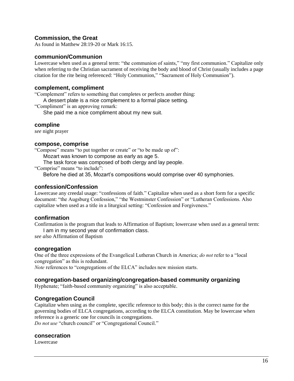## **Commission, the Great**

As found in Matthew 28:19-20 or Mark 16:15.

#### **communion/Communion**

Lowercase when used as a general term: "the communion of saints," "my first communion." Capitalize only when referring to the Christian sacrament of receiving the body and blood of Christ (usually includes a page citation for the rite being referenced: "Holy Communion," "Sacrament of Holy Communion").

#### **complement, compliment**

"Complement" refers to something that completes or perfects another thing:

A dessert plate is a nice complement to a formal place setting.

"Compliment" is an approving remark:

She paid me a nice compliment about my new suit.

#### **compline**

*see* night prayer

#### **compose, comprise**

"Compose" means "to put together or create" or "to be made up of": Mozart was known to compose as early as age 5.

The task force was composed of both clergy and lay people.

"Comprise" means "to include":

Before he died at 35, Mozart's compositions would comprise over 40 symphonies.

## **confession/Confession**

Lowercase any creedal usage: "confessions of faith." Capitalize when used as a short form for a specific document: "the Augsburg Confession," "the Westminster Confession" or "Lutheran Confessions. Also capitalize when used as a title in a liturgical setting: "Confession and Forgiveness."

## **confirmation**

Confirmation is the program that leads to Affirmation of Baptism; lowercase when used as a general term: I am in my second year of confirmation class.

*see also* Affirmation of Baptism

#### **congregation**

One of the three expressions of the Evangelical Lutheran Church in America; *do not* refer to a "local congregation" as this is redundant.

*Note* references to "congregations of the ELCA" includes new mission starts.

## **congregation-based organizing/congregation-based community organizing**

Hyphenate; "faith-based community organizing" is also acceptable.

## **Congregation Council**

Capitalize when using as the complete, specific reference to this body; this is the correct name for the governing bodies of ELCA congregations, according to the ELCA constitution. May be lowercase when reference is a generic one for councils in congregations.

*Do not use* "church council" or "Congregational Council."

#### **consecration**

Lowercase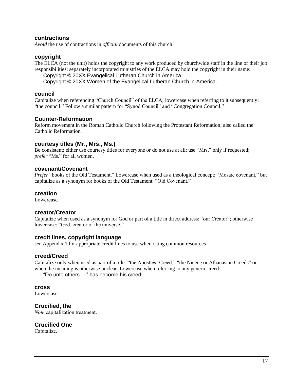#### **contractions**

*Avoid* the use of contractions in *official* documents of this church.

#### **copyright**

The ELCA (not the unit) holds the copyright to any work produced by churchwide staff in the line of their job responsibilities; separately incorporated ministries of the ELCA may hold the copyright in their name:

Copyright © 20XX Evangelical Lutheran Church in America.

Copyright © 20XX Women of the Evangelical Lutheran Church in America.

#### **council**

Capitalize when referencing "Church Council" of the ELCA; lowercase when referring to it subsequently: "the council." Follow a similar pattern for "Synod Council" and "Congregation Council."

#### **Counter-Reformation**

Reform movement in the Roman Catholic Church following the Protestant Reformation; also called the Catholic Reformation.

#### **courtesy titles (Mr., Mrs., Ms.)**

Be consistent; either use courtesy titles for everyone or do not use at all; use "Mrs." only if requested; *prefer* "Ms." for all women.

#### **covenant/Covenant**

*Prefer* "books of the Old Testament." Lowercase when used as a theological concept: "Mosaic covenant," but capitalize as a synonym for books of the Old Testament: "Old Covenant."

#### **creation**

Lowercase.

#### **creator/Creator**

Capitalize when used as a synonym for God or part of a title in direct address: "our Creator"; otherwise lowercase: "God, creator of the universe."

#### **credit lines, copyright language**

*see* Appendix 1 for appropriate credit lines to use when citing common resources

#### **creed/Creed**

Capitalize only when used as part of a title: "the Apostles' Creed," "the Nicene or Athanasian Creeds" or when the meaning is otherwise unclear. Lowercase when referring to any generic creed:

"Do unto others …" has become his creed.

#### **cross**

Lowercase.

**Crucified, the** 

*Note* capitalization treatment.

# **Crucified One**

Capitalize.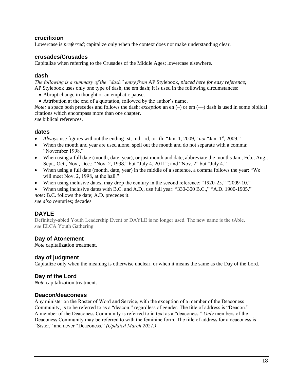## **crucifixion**

Lowercase is *preferred*; capitalize only when the context does not make understanding clear.

## **crusades/Crusades**

Capitalize when referring to the Crusades of the Middle Ages; lowercase elsewhere.

## **dash**

*The following is a summary of the "dash" entry from* AP Stylebook, *placed here for easy reference;* AP Stylebook uses only one type of dash, the em dash; it is used in the following circumstances:

- Abrupt change in thought or an emphatic pause.
- Attribution at the end of a quotation, followed by the author's name.

*Note:* a space both precedes and follows the dash; *exception* an en (–) or em (–) dash is used in some biblical citations which encompass more than one chapter.

*see* biblical references.

## **dates**

- *Always* use figures without the ending -st, -nd, -rd, or -th: "Jan. 1, 2009," *not* "Jan. 1<sup>st</sup>, 2009."
- When the month and year are used alone, spell out the month and do not separate with a comma: "November 1998."
- When using a full date (month, date, year), or just month and date, abbreviate the months Jan., Feb., Aug., Sept., Oct., Nov., Dec.: "Nov. 2, 1998," but "July 4, 2011"; and "Nov. 2" but "July 4."
- When using a full date (month, date, year) in the middle of a sentence, a comma follows the year: "We will meet Nov. 2, 1998, at the hall."
- When using inclusive dates, may drop the century in the second reference: "1920-25," "2009-10."
- When using inclusive dates with B.C. and A.D., use full year: "330-300 B.C.," "A.D. 1900-1905." *note*: B.C. follows the date; A.D. precedes it.

*see also* centuries; decades

# **DAYLE**

Definitely-abled Youth Leadership Event or DAYLE is no longer used. The new name is the tAble. *see* ELCA Youth Gathering

## **Day of Atonement**

*Note* capitalization treatment.

## **day of judgment**

Capitalize only when the meaning is otherwise unclear, or when it means the same as the Day of the Lord.

## **Day of the Lord**

*Note* capitalization treatment.

## **Deacon/deaconess**

Any minister on the Roster of Word and Service, with the exception of a member of the Deaconess Community, is to be referred to as a "deacon," regardless of gender. The title of address is "Deacon." A member of the Deaconess Community is referred to in text as a "deaconess." *Only* members of the Deaconess Community may be referred to with the feminine form. The title of address for a deaconess is "Sister," and never "Deaconess." *(Updated March 2021.)*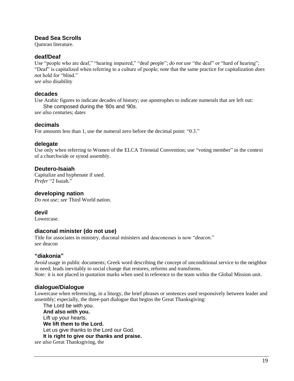## **Dead Sea Scrolls**

Qumran literature.

## **deaf/Deaf**

Use "people who are deaf," "hearing impaired," "deaf people"; *do not use* "the deaf" or "hard of hearing"; "Deaf" is capitalized when referring to a culture of people; *note* that the same practice for capitalization *does not* hold for "blind."

s*ee also* disability

## **decades**

Use Arabic figures to indicate decades of history; use apostrophes to indicate numerals that are left out: She composed during the '80s and '90s.

*see also* centuries; dates

## **decimals**

For amounts less than 1, use the numeral zero before the decimal point: "0.3."

#### **delegate**

Use only when referring to Women of the ELCA Triennial Convention; use "voting member" in the context of a churchwide or synod assembly.

## **Deutero-Isaiah**

Capitalize and hyphenate if used. *Prefer* "2 Isaiah."

## **developing nation**

*Do not use; see* Third World nation.

## **devil**

Lowercase.

## **diaconal minister (do not use)**

Title for associates in ministry, diaconal ministers and deaconesses is now "*deacon*." *see* deacon

## **"diakonia"**

*Avoid* usage in public documents; Greek word describing the concept of unconditional service to the neighbor in need; leads inevitably to social change that restores, reforms and transforms.

*Note:* it is *not* placed in quotation marks when used in reference to the team within the Global Mission unit.

## **dialogue/Dialogue**

Lowercase when referencing, in a liturgy, the brief phrases or sentences used responsively between leader and assembly; especially, the three-part dialogue that begins the Great Thanksgiving:

The Lord be with you. **And also with you.** Lift up your hearts. **We lift them to the Lord.** Let us give thanks to the Lord our God. **It is right to give our thanks and praise.** *see also* Great Thanksgiving, the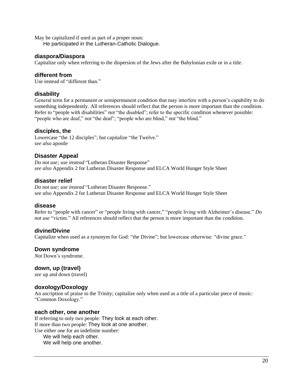May be capitalized if used as part of a proper noun:

He participated in the Lutheran-Catholic Dialogue.

#### **diaspora/Diaspora**

Capitalize only when referring to the dispersion of the Jews after the Babylonian exile or in a title.

## **different from**

Use instead of "different than."

## **disability**

General term for a permanent or semipermanent condition that may interfere with a person's capability to do something independently. All references should reflect that the person is more important than the condition. Refer to "people with disabilities" *not* "the disabled"; refer to the specific condition whenever possible: "people who are deaf," *not* "the deaf"; "people who are blind," *not* "the blind."

#### **disciples, the**

Lowercase "the 12 disciples"; but capitalize "the Twelve." *see also* apostle

## **Disaster Appeal**

*Do not use; use instead* "Lutheran Disaster Response" *see also* Appendix 2 for Lutheran Disaster Response and ELCA World Hunger Style Sheet

#### **disaster relief**

*Do not use; use instead* "Lutheran Disaster Response." *see also* Appendix 2 for Lutheran Disaster Response and ELCA World Hunger Style Sheet

#### **disease**

Refer to "people with cancer" or "people living with cancer," "people living with Alzheimer's disease." *Do not use* "victim." All references should reflect that the person is more important than the condition.

#### **divine/Divine**

Capitalize when used as a synonym for God: "the Divine"; but lowercase otherwise: "divine grace."

## **Down syndrome**

*Not* Down's syndrome.

#### **down, up (travel)**

*see* up and down (travel)

## **doxology/Doxology**

An ascription of praise to the Trinity; capitalize only when used as a title of a particular piece of music: "Common Doxology."

#### **each other, one another**

If referring to only two people: They look at each other. If more than two people: They look at one another. Use either one for an indefinite number: We will help each other.

We will help one another.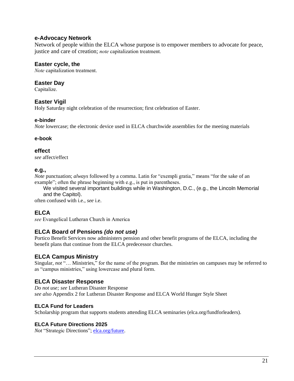## **e-Advocacy Network**

Network of people within the ELCA whose purpose is to empower members to advocate for peace, justice and care of creation; *note* capitalization treatment.

## **Easter cycle, the**

*Note* capitalization treatment.

## **Easter Day**

Capitalize.

## **Easter Vigil**

Holy Saturday night celebration of the resurrection; first celebration of Easter.

#### **e-binder**

*Note* lowercase; the electronic device used in ELCA churchwide assemblies for the meeting materials

## **e-book**

#### **effect**

*see* affect/effect

## **e.g.,**

*Note* punctuation; *always* followed by a comma. Latin for "exempli gratia," means "for the sake of an example"; often the phrase beginning with e.g., is put in parentheses.

We visited several important buildings while in Washington, D.C., (e.g., the Lincoln Memorial and the Capitol).

often confused with i.e., *see* i.e.

# **ELCA**

*see* Evangelical Lutheran Church in America

## **ELCA Board of Pensions** *(do not use)*

Portico Benefit Services now administers pension and other benefit programs of the ELCA, including the benefit plans that continue from the ELCA predecessor churches.

## **ELCA Campus Ministry**

Singular, *not* "... Ministries," for the name of the program. But the ministries on campuses may be referred to as "campus ministries," using lowercase and plural form.

## **ELCA Disaster Response**

*Do not use; see* Lutheran Disaster Response *see also* Appendix 2 for Lutheran Disaster Response and ELCA World Hunger Style Sheet

## **ELCA Fund for Leaders**

Scholarship program that supports students attending ELCA seminaries (elca.org/fundforleaders).

#### **ELCA Future Directions 2025**

*Not* "Strategic Directions"; [elca.org/future.](http://elca.org/future)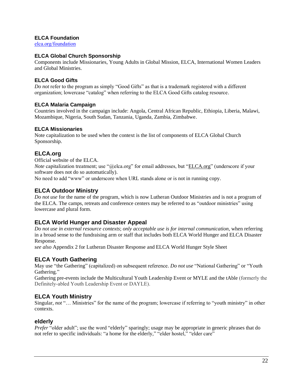## **ELCA Foundation**

[elca.org/foundation](http://elca.org/foundation)

#### **ELCA Global Church Sponsorship**

Components include Missionaries, Young Adults in Global Mission, ELCA, International Women Leaders and Global Ministries.

#### **ELCA Good Gifts**

*Do not* refer to the program as simply "Good Gifts" as that is a trademark registered with a different organization; lowercase "catalog" when referring to the ELCA Good Gifts catalog resource.

#### **ELCA Malaria Campaign**

Countries involved in the campaign include: Angola, Central African Republic, Ethiopia, Liberia, Malawi, Mozambique, Nigeria, South Sudan, Tanzania, Uganda, Zambia, Zimbabwe.

#### **ELCA Missionaries**

Note capitalization to be used when the context is the list of components of ELCA Global Church Sponsorship.

## **ELCA.org**

Official website of the ELCA.

*Note* capitalization treatment; use "@elca.org" for email addresses, but "ELCA.org" (underscore if your software does not do so automatically).

No need to add "www" or underscore when URL stands alone or is not in running copy.

## **ELCA Outdoor Ministry**

*Do not use* for the name of the program, which is now Lutheran Outdoor Ministries and is not a program of the ELCA. The camps, retreats and conference centers may be referred to as "outdoor ministries" using lowercase and plural form.

## **ELCA World Hunger and Disaster Appeal**

*Do not use in external resource contexts*; *only acceptable use is for internal communication*, when referring in a broad sense to the fundraising arm or staff that includes both ELCA World Hunger and ELCA Disaster Response.

*see also* Appendix 2 for Lutheran Disaster Response and ELCA World Hunger Style Sheet

## **ELCA Youth Gathering**

May use "the Gathering" (capitalized) on subsequent reference. *Do not use* "National Gathering" or "Youth Gathering."

Gathering pre-events include the Multicultural Youth Leadership Event or MYLE and the tAble (formerly the Definitely-abled Youth Leadership Event or DAYLE).

## **ELCA Youth Ministry**

Singular, *not* "… Ministries" for the name of the program; lowercase if referring to "youth ministry" in other contexts.

#### **elderly**

*Prefer* "older adult"; use the word "elderly" sparingly; usage may be appropriate in generic phrases that do not refer to specific individuals: "a home for the elderly," "elder hostel," "elder care"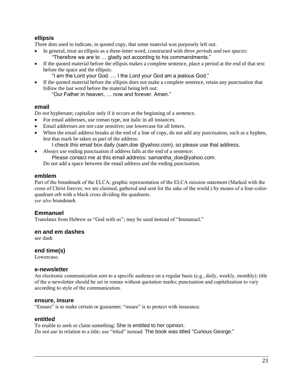## **ellipsis**

Three dots used to indicate, in quoted copy, that some material was purposely left out.

- In general, treat an ellipsis as a three-letter word, constructed with *three periods and two spaces:* "Therefore we are to … gladly act according to his commandments."
- If the quoted material before the ellipsis makes a complete sentence, place a period at the end of that text before the space and the ellipsis:
	- "I am the Lord your God. … I the Lord your God am a jealous God."
- If the quoted material before the ellipsis does not make a complete sentence, retain any punctuation that follow the last word before the material being left out:

"Our Father in heaven, … now and forever. Amen."

## **email**

*Do not* hyphenate; capitalize only if it occurs at the beginning of a sentence.

- For email addresses, use roman type, not italic in all instances.
- Email addresses are not case sensitive; use lowercase for all letters.
- When the email address breaks at the end of a line of copy, do not add any punctuation, such as a hyphen, lest that mark be taken as part of the address:

I check this email box daily (sam.doe @yahoo.com), so please use that address.

• *Always use* ending punctuation if address falls at the end of a sentence:

Please contact me at this email address: samantha\_doe@yahoo.com.

Do not add a space between the email address and the ending punctuation.

## **emblem**

Part of the brandmark of the ELCA; graphic representation of the ELCA mission statement (Marked with the cross of Christ forever, we are claimed, gathered and sent for the sake of the world.) by means of a four-colorquadrant orb with a black cross dividing the quadrants. *see also* brandmark

## **Emmanuel**

Translates from Hebrew as "God with us"; may be used instead of "Immanuel."

## **en and em dashes**

*see* dash

## **end time(s)**

Lowercase.

## **e-newsletter**

An electronic communication sent to a specific audience on a regular basis (e.g., daily, weekly, monthly); title of the e-newsletter should be set in roman without quotation marks; punctuation and capitalization to vary according to style of the communication.

## **ensure, insure**

"Ensure" is to make certain or guarantee; "insure" is to protect with insurance.

## **entitled**

To enable to seek or claim something: She is entitled to her opinion. *Do not use* in relation to a title; use "titled" instead: The book was titled "Curious George."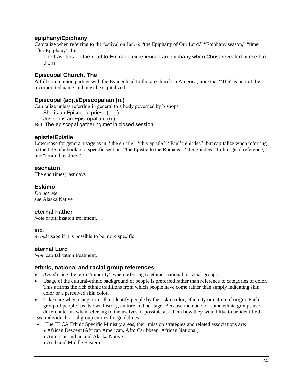## **epiphany/Epiphany**

Capitalize when referring to the festival on Jan. 6: "the Epiphany of Our Lord," "Epiphany season," "time after Epiphany"; but

The travelers on the road to Emmaus experienced an epiphany when Christ revealed himself to them.

# **Episcopal Church, The**

A full communion partner with the Evangelical Lutheran Church in America; *note* that "The" is part of the incorporated name and must be capitalized.

## **Episcopal (adj.)/Episcopalian (n.)**

Capitalize unless referring in general to a body governed by bishops.

She is an Episcopal priest. (adj.)

Joseph is an Episcopalian. (n.)

But: The episcopal gathering met in closed session.

## **epistle/Epistle**

Lowercase for general usage as in: "the epistle," "this epistle," "Paul's epistles"; but capitalize when referring to the title of a book or a specific section: "the Epistle to the Romans," "the Epistles." In liturgical reference, use "second reading."

## **eschaton**

The end times; last days.

## **Eskimo**

*Do not use. see* Alaska Native

## **eternal Father**

*Note* capitalization treatment.

## **etc.**

*Avoid* usage if it is possible to be more specific.

## **eternal Lord**

*Note* capitalization treatment.

## **ethnic, national and racial group references**

- *Avoid* using the term "minority" when referring to ethnic, national or racial groups.
- Usage of the cultural-ethnic background of people is preferred rather than reference to categories of color. This affirms the rich ethnic traditions from which people have come rather than simply indicating skin color or a perceived skin color.
- Take care when using terms that identify people by their skin color, ethnicity or nation of origin. Each group of people has its own history, culture and heritage. Because members of some ethnic groups use different terms when referring to themselves, if possible ask them how they would like to be identified.

*see* individual racial group entries for guidelines

- The ELCA Ethnic Specific Ministry areas, their mission strategies and related associations are:
	- African Descent (African American, Afro Caribbean, African National)
	- American Indian and Alaska Native
	- Arab and Middle Eastern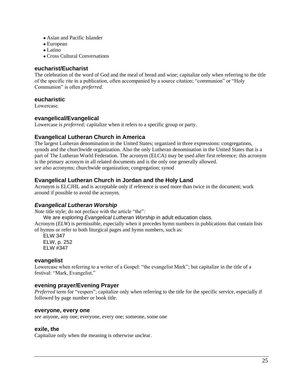- Asian and Pacific Islander
- European
- $\bullet$  Latino
- Cross Cultural Conversations

## **eucharist/Eucharist**

The celebration of the word of God and the meal of bread and wine; capitalize only when referring to the title of the specific rite in a publication, often accompanied by a source citation; "communion" or "Holy Communion" is often *preferred.*

## **eucharistic**

Lowercase.

## **evangelical/Evangelical**

Lowercase is *preferred;* capitalize when it refers to a specific group or party.

## **Evangelical Lutheran Church in America**

The largest Lutheran denomination in the United States; organized in three expressions: congregations, synods and the churchwide organization. Also the only Lutheran denomination in the United States that is a part of The Lutheran World Federation. The acronym (ELCA) may be used after first reference; this acronym is the primary acronym in all related documents and is the only one generally allowed. *see also* acronyms; churchwide organization; congregation; synod

## **Evangelical Lutheran Church in Jordan and the Holy Land**

Acronym is ELCJHL and is acceptable only if reference is used more than twice in the document; work around if possible to avoid the acronym.

## *Evangelical Lutheran Worship*

*Note* title style; do not preface with the article "the":

We are exploring *Evangelical Lutheran Worship* in adult education class.

Acronym (*ELW*) is permissible, especially when it precedes hymn numbers in publications that contain lists of hymns or refer to both liturgical pages and hymn numbers, such as:

ELW 347 ELW, p. 252 ELW #347

## **evangelist**

Lowercase when referring to a writer of a Gospel: "the evangelist Mark"; but capitalize in the title of a festival: "Mark, Evangelist."

## **evening prayer/Evening Prayer**

*Preferred* term for "vespers"; capitalize only when referring to the title for the specific service, especially if followed by page number or book title.

## **everyone, every one**

*see* anyone, any one; everyone, every one; someone, some one

## **exile, the**

Capitalize only when the meaning is otherwise unclear.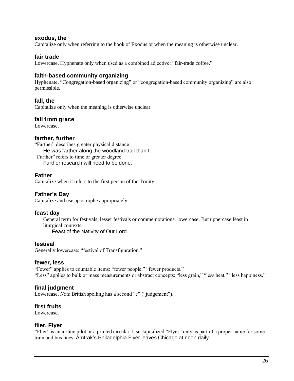#### **exodus, the**

Capitalize only when referring to the book of Exodus or when the meaning is otherwise unclear.

#### **fair trade**

Lowercase. Hyphenate only when used as a combined adjective: "fair-trade coffee."

## **faith-based community organizing**

Hyphenate. "Congregation-based organizing" or "congregation-based community organizing" are also permissible.

## **fall, the**

Capitalize only when the meaning is otherwise unclear.

#### **fall from grace**

Lowercase.

#### **farther, further**

"Farther" describes greater physical distance: He was farther along the woodland trail than I. "Further" refers to time or greater degree:

Further research will need to be done.

#### **Father**

Capitalize when it refers to the first person of the Trinity.

## **Father's Day**

Capitalize and use apostrophe appropriately.

#### **feast day**

General term for festivals, lesser festivals or commemorations; lowercase. But uppercase feast in liturgical contexts: Feast of the Nativity of Our Lord

#### **festival**

Generally lowercase: "festival of Transfiguration."

#### **fewer, less**

"Fewer" applies to countable items: "fewer people," "fewer products." "Less" applies to bulk or mass measurements or abstract concepts: "less grain," "less heat," "less happiness."

## **final judgment**

Lowercase. *Note* British spelling has a second "e" ("judgement").

## **first fruits**

Lowercase.

#### **flier, Flyer**

"Flier" is an airline pilot or a printed circular. Use capitalized "Flyer" only as part of a proper name for some train and bus lines: Amtrak's Philadelphia Flyer leaves Chicago at noon daily.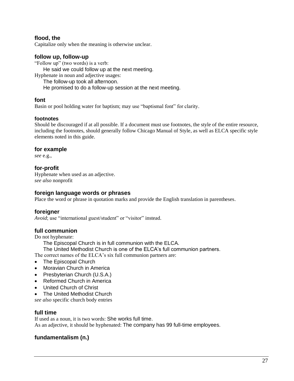## **flood, the**

Capitalize only when the meaning is otherwise unclear.

## **follow up, follow-up**

"Follow up" (two words) is a verb: He said we could follow up at the next meeting. Hyphenate in noun and adjective usages: The follow-up took all afternoon.

He promised to do a follow-up session at the next meeting.

## **font**

Basin or pool holding water for baptism; may use "baptismal font" for clarity.

## **footnotes**

Should be discouraged if at all possible. If a document must use footnotes, the style of the entire resource, including the footnotes, should generally follow Chicago Manual of Style, as well as ELCA specific style elements noted in this guide.

## **for example**

*see* e.g.,

## **for-profit**

Hyphenate when used as an adjective. *see also* nonprofit

## **foreign language words or phrases**

Place the word or phrase in quotation marks and provide the English translation in parentheses.

## **foreigner**

*Avoid*; use "international guest/student" or "visitor" instead.

## **full communion**

Do not hyphenate:

The Episcopal Church is in full communion with the ELCA.

The United Methodist Church is one of the ELCA's full communion partners.

The correct names of the ELCA's six full communion partners are:

- The Episcopal Church
- Moravian Church in America
- Presbyterian Church (U.S.A.)
- Reformed Church in America
- United Church of Christ
- The United Methodist Church

*see also* specific church body entries

## **full time**

If used as a noun, it is two words: She works full time. As an adjective, it should be hyphenated: The company has 99 full-time employees.

# **fundamentalism (n.)**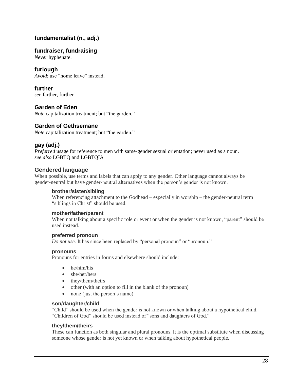# **fundamentalist (n., adj.)**

## **fundraiser, fundraising**

*Never* hyphenate.

## **furlough**

*Avoid*; use "home leave" instead.

**further** *see* farther, further

## **Garden of Eden**

*Note* capitalization treatment; but "the garden."

## **Garden of Gethsemane**

*Note* capitalization treatment; but "the garden."

## **gay (adj.)**

*Preferred* usage for reference to men with same-gender sexual orientation; never used as a noun. *see also* LGBTQ and LGBTQIA

## **Gendered language**

When possible, use terms and labels that can apply to any gender. Other language cannot always be gender-neutral but have gender-neutral alternatives when the person's gender is not known.

#### **brother/sister/sibling**

When referencing attachment to the Godhead – especially in worship – the gender-neutral term "siblings in Christ" should be used.

## **mother/father/parent**

When not talking about a specific role or event or when the gender is not known, "parent" should be used instead.

#### **preferred pronoun**

*Do not use.* It has since been replaced by "personal pronoun" or "pronoun."

#### **pronouns**

Pronouns for entries in forms and elsewhere should include:

- he/him/his
- she/her/hers
- they/them/theirs
- other (with an option to fill in the blank of the pronoun)
- none (just the person's name)

#### **son/daughter/child**

"Child" should be used when the gender is not known or when talking about a hypothetical child. "Children of God" should be used instead of "sons and daughters of God."

#### **they/them/theirs**

These can function as both singular and plural pronouns. It is the optimal substitute when discussing someone whose gender is not yet known or when talking about hypothetical people.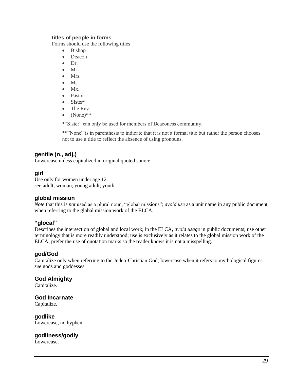#### **titles of people in forms**

Forms should use the following titles

- Bishop
- Deacon
- Dr.
- Mr.
- Mrs.
- Ms.
- $\bullet$  Mx.
- Pastor
- Sister\*
- The Rev.
- $\bullet$  (None)\*\*

\*"Sister" can only be used for members of Deaconess community.

\*\*"None" is in parenthesis to indicate that it is not a formal title but rather the person chooses not to use a title to reflect the absence of using pronouns.

## **gentile (n., adj.)**

Lowercase unless capitalized in original quoted source.

## **girl**

Use only for women under age 12. *see* adult; woman; young adult; youth

## **global mission**

*Note* that this is *not* used as a plural noun, "global missions"; *avoid use* as a unit name in any public document when referring to the global mission work of the ELCA.

## **"glocal"**

Describes the intersection of global and local work; in the ELCA, *avoid usage* in public documents; use other terminology that is more readily understood; use is exclusively as it relates to the global mission work of the ELCA; prefer the use of quotation marks so the reader knows it is not a misspelling.

## **god/God**

Capitalize only when referring to the Judeo-Christian God; lowercase when it refers to mythological figures. *see* gods and goddesses

## **God Almighty**

Capitalize.

## **God Incarnate**

Capitalize.

**godlike** Lowercase, no hyphen.

## **godliness/godly**

Lowercase.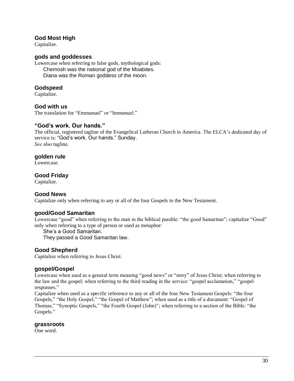## **God Most High**

Capitalize.

## **gods and goddesses**

Lowercase when referring to false gods, mythological gods: Chemosh was the national god of the Moabites. Diana was the Roman goddess of the moon.

## **Godspeed**

Capitalize.

## **God with us**

The translation for "Emmanuel" or "Immanuel."

## **"God's work. Our hands."**

The official, registered tagline of the Evangelical Lutheran Church in America. The ELCA's dedicated day of service is: "God's work. Our hands." Sunday. *See* also tagline.

#### **golden rule**

Lowercase.

## **Good Friday**

Capitalize.

## **Good News**

Capitalize only when referring to any or all of the four Gospels in the New Testament.

## **good/Good Samaritan**

Lowercase "good" when referring to the man in the biblical parable: "the good Samaritan"; capitalize "Good" only when referring to a type of person or used as metaphor:

She's a Good Samaritan.

They passed a Good Samaritan law.

## **Good Shepherd**

Capitalize when referring to Jesus Christ.

## **gospel/Gospel**

Lowercase when used as a general term meaning "good news" or "story" of Jesus Christ; when referring to the law and the gospel; when referring to the third reading in the service: "gospel acclamation," "gospel responses."

Capitalize when used as a specific reference to any or all of the four New Testament Gospels: "the four Gospels," "the Holy Gospel," "the Gospel of Matthew"; when used as a title of a document: "Gospel of Thomas," "Synoptic Gospels," "the Fourth Gospel (John)"; when referring to a section of the Bible: "the Gospels."

#### **grassroots**

One word.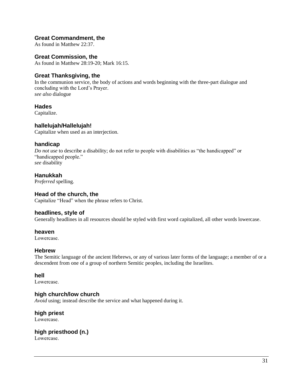## **Great Commandment, the**

As found in Matthew 22:37.

## **Great Commission, the**

As found in Matthew 28:19-20; Mark 16:15.

## **Great Thanksgiving, the**

In the communion service, the body of actions and words beginning with the three-part dialogue and concluding with the Lord's Prayer. *see also* dialogue

## **Hades**

Capitalize.

## **hallelujah/Hallelujah!**

Capitalize when used as an interjection.

## **handicap**

*Do not use* to describe a disability; do not refer to people with disabilities as "the handicapped" or "handicapped people." *see* disability

## **Hanukkah**

P*referred* spelling.

## **Head of the church, the**

Capitalize "Head" when the phrase refers to Christ.

## **headlines, style of**

Generally headlines in all resources should be styled with first word capitalized, all other words lowercase.

## **heaven**

Lowercase.

## **Hebrew**

The Semitic language of the ancient Hebrews, or any of various later forms of the language; a member of or a descendent from one of a group of northern Semitic peoples, including the Israelites.

## **hell**

Lowercase.

## **high church/low church**

*Avoid* using; instead describe the service and what happened during it.

# **high priest**

Lowercase.

# **high priesthood (n.)**

Lowercase.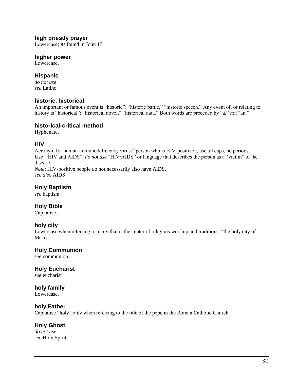## **high priestly prayer**

Lowercase; as found in John 17.

## **higher power**

Lowercase.

## **Hispanic**

*do not use see* Latino

## **historic, historical**

An important or famous event is "historic": "historic battle," "historic speech." Any event of, or relating to, history is "historical": "historical novel," "historical data." Both words are preceded by "a," *not* "an."

## **historical-critical method**

Hyphenate.

## **HIV**

Acronym for human immunodeficiency virus: "person who is HIV-positive"; use all caps, no periods. *Use* "HIV and AIDS"; *do not use* "HIV/AIDS" or language that describes the person as a "victim" of the disease.

*Note*: HIV-positive people do not necessarily also have AIDS. *see also* AIDS

# **Holy Baptism**

*see* baptism

## **Holy Bible**

Capitalize.

## **holy city**

Lowercase when referring to a city that is the center of religious worship and traditions: "the holy city of Mecca."

## **Holy Communion**

*see* communion

# **Holy Eucharist**

*see* eucharist

# **holy family**

Lowercase.

## **holy Father**

Capitalize "holy" only when referring to the title of the pope in the Roman Catholic Church.

## **Holy Ghost**

*do not use see* Holy Spirit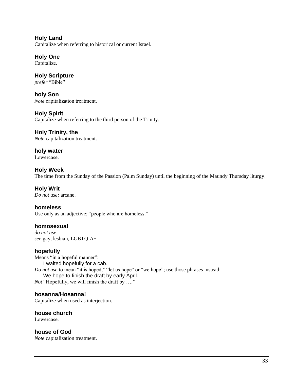**Holy Land**  Capitalize when referring to historical or current Israel.

**Holy One** Capitalize.

**Holy Scripture** *prefer* "Bible"

**holy Son** *Note* capitalization treatment.

**Holy Spirit**  Capitalize when referring to the third person of the Trinity.

**Holy Trinity, the**  *Note* capitalization treatment.

**holy water** Lowercase.

**Holy Week** The time from the Sunday of the Passion (Palm Sunday) until the beginning of the Maundy Thursday liturgy.

**Holy Writ**  *Do not use;* arcane.

**homeless** Use only as an adjective; "people who are homeless."

**homosexual**  *do not use see* gay*,* lesbian*,* LGBTQIA+

**hopefully**

Means "in a hopeful manner": I waited hopefully for a cab. *Do not use* to mean "it is hoped," "let us hope" or "we hope"; use those phrases instead: We hope to finish the draft by early April. *Not* "Hopefully, we will finish the draft by …."

**hosanna/Hosanna!**  Capitalize when used as interjection.

**house church**  Lowercase.

**house of God**  *Note* capitalization treatment.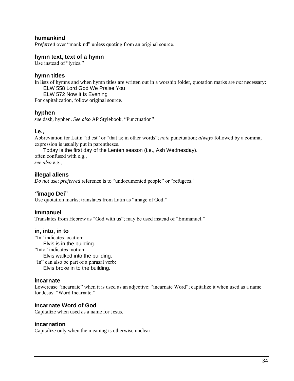## **humankind**

*Preferred* over "mankind" unless quoting from an original source.

#### **hymn text, text of a hymn**

Use instead of "lyrics."

#### **hymn titles**

In lists of hymns and when hymn titles are written out in a worship folder, quotation marks are *not* necessary:

ELW 558 Lord God We Praise You

ELW 572 Now It Is Evening

For capitalization, follow original source.

#### **hyphen**

*see* dash, hyphen. *See also* AP Stylebook, "Punctuation"

#### **i.e.,**

Abbreviation for Latin "id est" or "that is; in other words"; *note* punctuation; *always* followed by a comma; expression is usually put in parentheses.

Today is the first day of the Lenten season (i.e., Ash Wednesday).

often confused with e.g., *see also* e.g.,

## **illegal aliens**

*Do not use*; *preferred* reference is to "undocumented people" or "refugees."

## *"***imago Dei"**

Use quotation marks; translates from Latin as "image of God."

## **Immanuel**

Translates from Hebrew as "God with us"; may be used instead of "Emmanuel."

#### **in, into, in to**

"In" indicates location: Elvis is in the building. "Into" indicates motion: Elvis walked into the building. "In" can also be part of a phrasal verb:

Elvis broke in to the building.

#### **incarnate**

Lowercase "incarnate" when it is used as an adjective: "incarnate Word"; capitalize it when used as a name for Jesus: "Word Incarnate."

## **Incarnate Word of God**

Capitalize when used as a name for Jesus.

#### **incarnation**

Capitalize only when the meaning is otherwise unclear.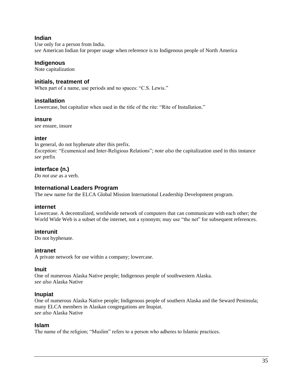## **Indian**

Use only for a person from India. *see* American Indian for proper usage when reference is to Indigenous people of North America

## **Indigenous**

Note capitalization

#### **initials, treatment of**

When part of a name, use periods and no spaces: "C.S. Lewis."

## **installation**

Lowercase, but capitalize when used in the title of the rite: "Rite of Installation."

#### **insure**

*see* ensure, insure

## **inter**

In general, do not hyphenate after this prefix. *Exception:* "Ecumenical and Inter-Religious Relations"; *note also* the capitalization used in this instance *see* prefix

## **interface (n.)**

*Do not use* as a verb.

## **International Leaders Program**

The new name for the ELCA Global Mission International Leadership Development program.

#### **internet**

Lowercase. A decentralized, worldwide network of computers that can communicate with each other; the World Wide Web is a subset of the internet, not a synonym; may use "the net" for subsequent references.

## **interunit**

Do not hyphenate.

#### **intranet**

A private network for use within a company; lowercase.

## **Inuit**

One of numerous Alaska Native people; Indigenous people of southwestern Alaska. *see also* Alaska Native

#### **Inupiat**

One of numerous Alaska Native people; Indigenous people of southern Alaska and the Seward Peninsula; many ELCA members in Alaskan congregations are Inupiat. *see also* Alaska Native

#### **Islam**

The name of the religion; "Muslim" refers to a person who adheres to Islamic practices.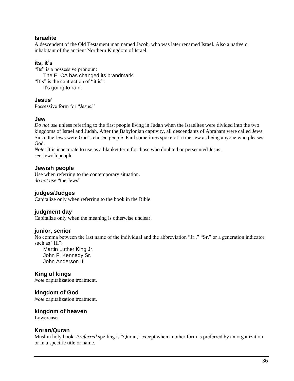## **Israelite**

A descendent of the Old Testament man named Jacob, who was later renamed Israel. Also a native or inhabitant of the ancient Northern Kingdom of Israel.

## **its, it's**

"Its" is a possessive pronoun: The ELCA has changed its brandmark. "It's" is the contraction of "it is": It's going to rain.

## **Jesus'**

Possessive form for "Jesus."

## **Jew**

*Do not use* unless referring to the first people living in Judah when the Israelites were divided into the two kingdoms of Israel and Judah. After the Babylonian captivity, all descendants of Abraham were called Jews. Since the Jews were God's chosen people, Paul sometimes spoke of a true Jew as being anyone who pleases God.

*Note*: It is inaccurate to use as a blanket term for those who doubted or persecuted Jesus. *see* Jewish people

## **Jewish people**

Use when referring to the contemporary situation. *do not use* "the Jews"

## **judges/Judges**

Capitalize only when referring to the book in the Bible.

## **judgment day**

Capitalize only when the meaning is otherwise unclear.

## **junior, senior**

No comma between the last name of the individual and the abbreviation "Jr.," "Sr." or a generation indicator such as "III":

Martin Luther King Jr. John F. Kennedy Sr. John Anderson III

# **King of kings**

*Note* capitalization treatment.

## **kingdom of God**

*Note* capitalization treatment.

## **kingdom of heaven**

Lowercase.

## **Koran/Quran**

Muslim holy book. *Preferred* spelling is "Quran," except when another form is preferred by an organization or in a specific title or name.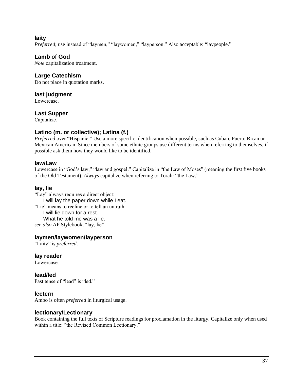**laity** 

*Preferred*; use instead of "laymen," "laywomen," "layperson." Also acceptable: "laypeople."

## **Lamb of God**

*Note* capitalization treatment.

## **Large Catechism**

Do not place in quotation marks.

## **last judgment**

Lowercase.

## **Last Supper**

Capitalize.

# **Latino (m. or collective); Latina (f.)**

*Preferred* over "Hispanic." Use a more specific identification when possible, such as Cuban, Puerto Rican or Mexican American. Since members of some ethnic groups use different terms when referring to themselves, if possible ask them how they would like to be identified.

## **law/Law**

Lowercase in "God's law," "law and gospel." Capitalize in "the Law of Moses" (meaning the first five books of the Old Testament). *Always* capitalize when referring to Torah: "the Law."

# **lay, lie**

"Lay" always requires a direct object: I will lay the paper down while I eat. "Lie" means to recline or to tell an untruth: I will lie down for a rest. What he told me was a lie. *see also* AP Stylebook, "lay, lie"

## **laymen/laywomen/layperson**

"Laity" is *preferred*.

**lay reader**

Lowercase.

**lead/led** Past tense of "lead" is "led."

## **lectern**

Ambo is often *preferred* in liturgical usage.

# **lectionary/Lectionary**

Book containing the full texts of Scripture readings for proclamation in the liturgy. Capitalize only when used within a title: "the Revised Common Lectionary."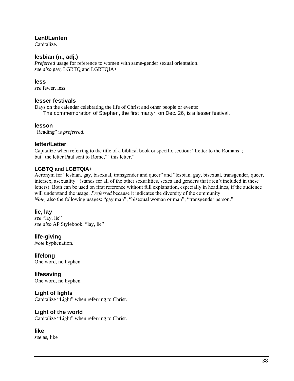# **Lent/Lenten**

Capitalize.

# **lesbian (n., adj.)**

*Preferred* usage for reference to women with same-gender sexual orientation. *see also* gay, LGBTQ and LGBTQIA+

## **less**

*see* fewer, less

# **lesser festivals**

Days on the calendar celebrating the life of Christ and other people or events:

The commemoration of Stephen, the first martyr, on Dec. 26, is a lesser festival.

# **lesson**

"Reading" is *preferred*.

# **letter/Letter**

Capitalize when referring to the title of a biblical book or specific section: "Letter to the Romans"; but "the letter Paul sent to Rome," "this letter."

# **LGBTQ and LGBTQIA+**

Acronym for "lesbian, gay, bisexual, transgender and queer" and "lesbian, gay, bisexual, transgender, queer, intersex, asexuality +(stands for all of the other sexualities, sexes and genders that aren't included in these letters). Both can be used on first reference without full explanation, especially in headlines, if the audience will understand the usage. *Preferred* because it indicates the diversity of the community. *Note*, also the following usages: "gay man"; "bisexual woman or man"; "transgender person."

# **lie, lay**

*see* "lay, lie" *see also* AP Stylebook, "lay, lie"

# **life-giving**

*Note* hyphenation.

**lifelong** One word, no hyphen.

**lifesaving** One word, no hyphen.

# **Light of lights**

Capitalize "Light" when referring to Christ.

# **Light of the world**

Capitalize "Light" when referring to Christ.

# **like**

*see* as, like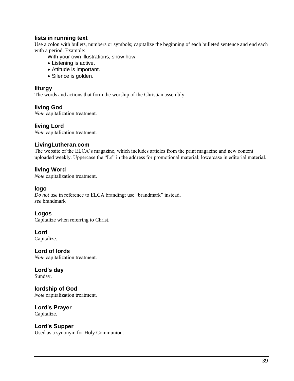# **lists in running text**

Use a colon with bullets, numbers or symbols; capitalize the beginning of each bulleted sentence and end each with a period. Example:

With your own illustrations, show how:

- Listening is active.
- Attitude is important.
- Silence is golden.

## **liturgy**

The words and actions that form the worship of the Christian assembly.

# **living God**

*Note* capitalization treatment.

## **living Lord**

*Note* capitalization treatment.

# **LivingLutheran**.**com**

The website of the ELCA's magazine, which includes articles from the print magazine and new content uploaded weekly. Uppercase the "Ls" in the address for promotional material; lowercase in editorial material.

# **living Word**

*Note* capitalization treatment.

## **logo**

*Do not use* in reference to ELCA branding; use "brandmark" instead. *see* brandmark

## **Logos**

Capitalize when referring to Christ.

# **Lord**

Capitalize.

**Lord of lords** *Note* capitalization treatment.

**Lord's day**  Sunday.

**lordship of God** *Note* capitalization treatment.

**Lord's Prayer** Capitalize.

# **Lord's Supper**

Used as a synonym for Holy Communion.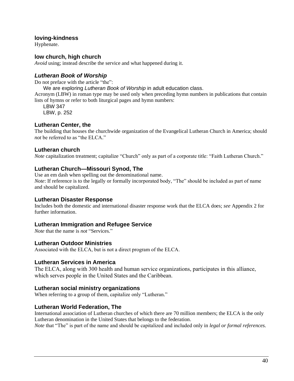## **loving-kindness**

Hyphenate.

## **low church, high church**

*Avoid* using; instead describe the service and what happened during it.

## *Lutheran Book of Worship*

Do not preface with the article "the":

We are exploring *Lutheran Book of Worship* in adult education class.

Acronym (LBW) in roman type may be used only when preceding hymn numbers in publications that contain lists of hymns or refer to both liturgical pages and hymn numbers:

LBW 347 LBW, p. 252

# **Lutheran Center, the**

The building that houses the churchwide organization of the Evangelical Lutheran Church in America; should *not* be referred to as "the ELCA."

## **Lutheran church**

*Note* capitalization treatment; capitalize "Church" only as part of a corporate title: "Faith Lutheran Church."

## **Lutheran Church—Missouri Synod, The**

Use an em dash when spelling out the denominational name. *Note*: If reference is to the legally or formally incorporated body, "The" should be included as part of name and should be capitalized.

## **Lutheran Disaster Response**

Includes both the domestic and international disaster response work that the ELCA does; *see* Appendix 2 for further information.

## **Lutheran Immigration and Refugee Service**

*Note* that the name is *not* "Services."

# **Lutheran Outdoor Ministries**

Associated with the ELCA, but is not a direct program of the ELCA.

## **Lutheran Services in America**

The ELCA, along with 300 health and human service organizations, participates in this alliance, which serves people in the United States and the Caribbean.

# **Lutheran social ministry organizations**

When referring to a group of them, capitalize only "Lutheran."

# **Lutheran World Federation, The**

International association of Lutheran churches of which there are 70 million members; the ELCA is the only Lutheran denomination in the United States that belongs to the federation.

*Note* that "The" is part of the name and should be capitalized and included only in *legal or formal references.*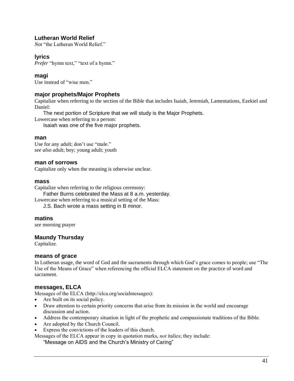# **Lutheran World Relief**

*Not* "the Lutheran World Relief."

# **lyrics**

*Prefer* "hymn text," "text of a hymn."

## **magi**

Use instead of "wise men."

## **major prophets/Major Prophets**

Capitalize when referring to the section of the Bible that includes Isaiah, Jeremiah, Lamentations, Ezekiel and Daniel:

The next portion of Scripture that we will study is the Major Prophets.

Lowercase when referring to a person:

Isaiah was one of the five major prophets.

#### **man**

Use for any adult; don't use "male." *see also* adult; boy; young adult; youth

## **man of sorrows**

Capitalize only when the meaning is otherwise unclear.

#### **mass**

Capitalize when referring to the religious ceremony:

Father Burns celebrated the Mass at 8 a.m. yesterday.

Lowercase when referring to a musical setting of the Mass:

J.S. Bach wrote a mass setting in B minor.

#### **matins**

*see* morning prayer

## **Maundy Thursday**

Capitalize.

## **means of grace**

In Lutheran usage, the word of God and the sacraments through which God's grace comes to people; use "The Use of the Means of Grace" when referencing the official ELCA statement on the practice of word and sacrament.

## **messages, ELCA**

Messages of the ELCA (http://elca.org/socialmessages):

- Are built on its social policy.
- Draw attention to certain priority concerns that arise from its mission in the world and encourage discussion and action.
- Address the contemporary situation in light of the prophetic and compassionate traditions of the Bible.
- Are adopted by the Church Council.
- Express the convictions of the leaders of this church.

Messages of the ELCA appear in copy in quotation marks, *not* italics; they include:

"Message on AIDS and the Church's Ministry of Caring"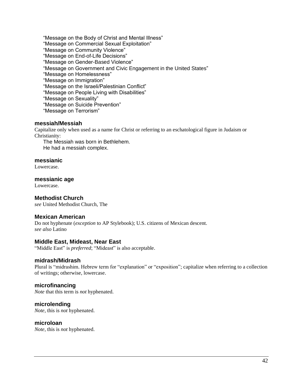"Message on the Body of Christ and Mental Illness"

"Message on Commercial Sexual Exploitation"

"Message on Community Violence"

"Message on End-of-Life Decisions"

"Message on Gender-Based Violence"

"Message on Government and Civic Engagement in the United States"

"Message on Homelessness"

"Message on Immigration"

"Message on the Israeli/Palestinian Conflict"

"Message on People Living with Disabilities"

"Message on Sexuality"

"Message on Suicide Prevention"

"Message on Terrorism"

## **messiah/Messiah**

Capitalize only when used as a name for Christ or referring to an eschatological figure in Judaism or Christianity:

The Messiah was born in Bethlehem. He had a messiah complex.

#### **messianic**

Lowercase.

#### **messianic age**

Lowercase.

## **Methodist Church**

*see* United Methodist Church, The

## **Mexican American**

Do not hyphenate (*exception* to AP Stylebook); U.S. citizens of Mexican descent. *see also* Latino

## **Middle East, Mideast, Near East**

"Middle East" is *preferred*; "Mideast" is also acceptable.

## **midrash/Midrash**

Plural is "midrashim. Hebrew term for "explanation" or "exposition"; capitalize when referring to a collection of writings; otherwise, lowercase.

## **microfinancing**

*Note* that this term is *not* hyphenated.

## **microlending**

*Note*, this is *not* hyphenated.

## **microloan**

*Note*, this is *not* hyphenated.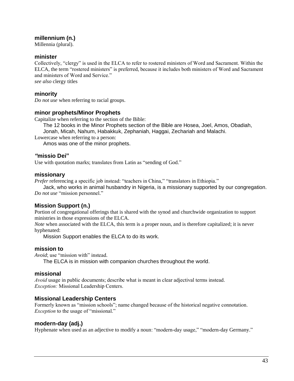# **millennium (n.)**

Millennia (plural).

## **minister**

Collectively, "clergy" is used in the ELCA to refer to rostered ministers of Word and Sacrament. Within the ELCA, the term "rostered ministers" is preferred, because it includes both ministers of Word and Sacrament and ministers of Word and Service."

*see also* clergy titles

## **minority**

*Do not use* when referring to racial groups.

## **minor prophets/Minor Prophets**

Capitalize when referring to the section of the Bible:

The 12 books in the Minor Prophets section of the Bible are Hosea, Joel, Amos, Obadiah,

Jonah, Micah, Nahum, Habakkuk, Zephaniah, Haggai, Zechariah and Malachi.

Lowercase when referring to a person:

Amos was one of the minor prophets.

## *"***missio Dei"**

Use with quotation marks; translates from Latin as "sending of God."

## **missionary**

*Prefer* referencing a specific job instead: "teachers in China," "translators in Ethiopia."

Jack, who works in animal husbandry in Nigeria, is a missionary supported by our congregation. *Do not use* "mission personnel."

# **Mission Support (n.)**

Portion of congregational offerings that is shared with the synod and churchwide organization to support ministries in those expressions of the ELCA.

*Note* when associated with the ELCA, this term is a proper noun, and is therefore capitalized; it is never hyphenated:

Mission Support enables the ELCA to do its work.

## **mission to**

*Avoid*; use "mission with" instead.

The ELCA is in mission with companion churches throughout the world.

# **missional**

*Avoid* usage in public documents; describe what is meant in clear adjectival terms instead. *Exception:* Missional Leadership Centers.

# **Missional Leadership Centers**

Formerly known as "mission schools"; name changed because of the historical negative connotation. *Exception* to the usage of "missional."

# **modern-day (adj.)**

Hyphenate when used as an adjective to modify a noun: "modern-day usage," "modern-day Germany."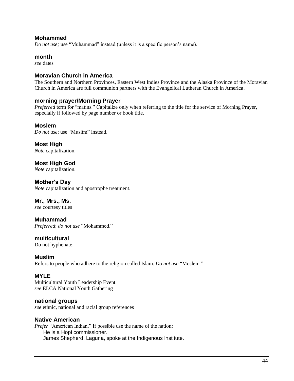## **Mohammed**

*Do not use;* use "Muhammad" instead (unless it is a specific person's name).

#### **month**

*see* dates

## **Moravian Church in America**

The Southern and Northern Provinces, Eastern West Indies Province and the Alaska Province of the Moravian Church in America are full communion partners with the Evangelical Lutheran Church in America.

## **morning prayer/Morning Prayer**

*Preferred* term for "matins." Capitalize only when referring to the title for the service of Morning Prayer, especially if followed by page number or book title.

## **Moslem**

*Do not use*; use "Muslim" instead.

**Most High**  *Note* capitalization.

**Most High God**  *Note* capitalization.

**Mother's Day**  *Note* capitalization and apostrophe treatment.

# **Mr., Mrs., Ms.**

*see* courtesy titles

**Muhammad**  *Preferred*; *do not use* "Mohammed."

**multicultural**

Do not hyphenate.

## **Muslim**

Refers to people who adhere to the religion called Islam. *Do not use* "Moslem."

## **MYLE**

Multicultural Youth Leadership Event. *see* ELCA National Youth Gathering

## **national groups**

*see* ethnic, national and racial group references

## **Native American**

*Prefer* "American Indian." If possible use the name of the nation: He is a Hopi commissioner. James Shepherd, Laguna, spoke at the Indigenous Institute.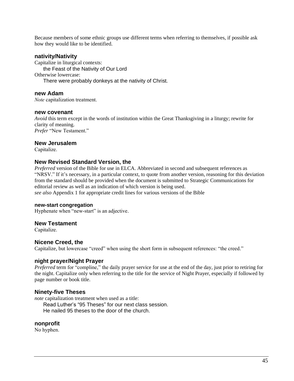Because members of some ethnic groups use different terms when referring to themselves, if possible ask how they would like to be identified.

#### **nativity/Nativity**

Capitalize in liturgical contexts: the Feast of the Nativity of Our Lord Otherwise lowercase: There were probably donkeys at the nativity of Christ.

#### **new Adam**

*Note* capitalization treatment.

#### **new covenant**

*Avoid* this term except in the words of institution within the Great Thanksgiving in a liturgy; rewrite for clarity of meaning. *Prefer* "New Testament."

#### **New Jerusalem**

Capitalize.

#### **New Revised Standard Version, the**

*Preferred* version of the Bible for use in ELCA. Abbreviated in second and subsequent references as "NRSV." If it's necessary, in a particular context, to quote from another version, reasoning for this deviation from the standard should be provided when the document is submitted to Strategic Communications for editorial review as well as an indication of which version is being used. *see also* Appendix 1 for appropriate credit lines for various versions of the Bible

#### **new-start congregation**

Hyphenate when "new-start" is an adjective.

#### **New Testament**

Capitalize.

#### **Nicene Creed, the**

Capitalize, but lowercase "creed" when using the short form in subsequent references: "the creed."

#### **night prayer/Night Prayer**

*Preferred* term for "compline," the daily prayer service for use at the end of the day, just prior to retiring for the night. Capitalize only when referring to the title for the service of Night Prayer, especially if followed by page number or book title.

#### **Ninety-five Theses**

*note* capitalization treatment when used as a title: Read Luther's "95 Theses" for our next class session. He nailed 95 theses to the door of the church.

#### **nonprofit**

No hyphen.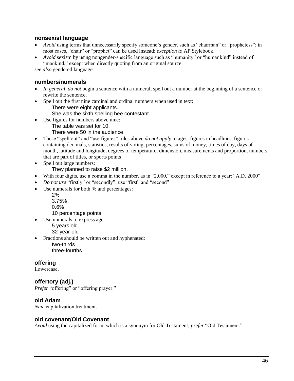## **nonsexist language**

- *Avoid* using terms that unnecessarily specify someone's gender, such as "chairman" or "prophetess"; in most cases, "chair" or "prophet" can be used instead; *exception to* AP Stylebook.
- *Avoid* sexism by using nongender-specific language such as "humanity" or "humankind" instead of "mankind," except when directly quoting from an original source.

*see also* gendered language

## **numbers/numerals**

- *In general, do not* begin a sentence with a numeral; spell out a number at the beginning of a sentence or rewrite the sentence.
- Spell out the first nine cardinal and ordinal numbers when used in text:

There were eight applicants.

She was the sixth spelling bee contestant.

- Use figures for numbers above nine:
	- The table was set for 10.
	- There were 50 in the audience.
- These "spell out" and "use figures" rules above *do not apply* to ages, figures in headlines, figures containing decimals, statistics, results of voting, percentages, sums of money, times of day, days of month, latitude and longitude, degrees of temperature, dimension, measurements and proportion, numbers that are part of titles, or sports points
- Spell out large numbers: They planned to raise \$2 million.
- With four digits, use a comma in the number, as in "2,000," except in reference to a year: "A.D. 2000"
- *Do not use* "firstly" or "secondly"; use "first" and "second"
- Use numerals for both % and percentages:
	- 2%
	- 3.75%
	- 0.6%
	- 10 percentage points
- Use numerals to express age:
	- 5 years old
	- 32-year-old
- Fractions should be written out and hyphenated:
	- two-thirds three-fourths

# **offering**

Lowercase.

# **offertory (adj.)**

*Prefer* "offering" or "offering prayer."

# **old Adam**

*Note* capitalization treatment.

## **old covenant/Old Covenant**

*Avoid* using the capitalized form, which is a synonym for Old Testament; *prefer* "Old Testament."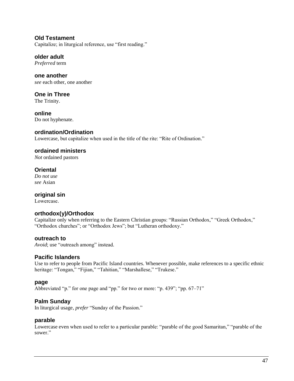**Old Testament**  Capitalize; in liturgical reference, use "first reading."

**older adult** *Preferred* term

**one another** *see* each other, one another

**One in Three**  The Trinity.

**online** Do not hyphenate.

# **ordination/Ordination**

Lowercase, but capitalize when used in the title of the rite: "Rite of Ordination."

# **ordained ministers**

*Not* ordained pastors

# **Oriental**

*Do not use see* Asian

# **original sin**

Lowercase.

# **orthodox(y)/Orthodox**

Capitalize only when referring to the Eastern Christian groups: "Russian Orthodox," "Greek Orthodox," "Orthodox churches"; or "Orthodox Jews"; but "Lutheran orthodoxy."

# **outreach to**

*Avoid*; use "outreach among" instead.

# **Pacific Islanders**

Use to refer to people from Pacific Island countries. Whenever possible, make references to a specific ethnic heritage: "Tongan," "Fijian," "Tahitian," "Marshallese," "Trukese."

## **page**

Abbreviated "p." for one page and "pp." for two or more: "p. 439"; "pp. 67–71"

# **Palm Sunday**

In liturgical usage, *prefer* "Sunday of the Passion."

# **parable**

Lowercase even when used to refer to a particular parable: "parable of the good Samaritan," "parable of the sower."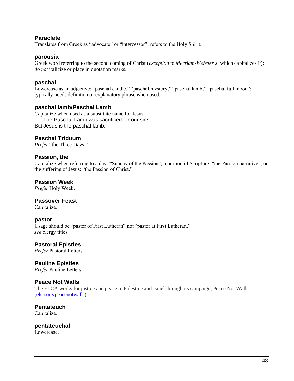## **Paraclete**

Translates from Greek as "advocate" or "intercessor"; refers to the Holy Spirit.

#### **parousia**

Greek word referring to the second coming of Christ (*exception* to *Merriam-Webster's*, which capitalizes it); *do not* italicize or place in quotation marks.

## **paschal**

Lowercase as an adjective: "paschal candle," "paschal mystery," "paschal lamb," "paschal full moon"; typically needs definition or explanatory phrase when used.

## **paschal lamb/Paschal Lamb**

Capitalize when used as a substitute name for Jesus: The Paschal Lamb was sacrificed for our sins. But Jesus is the paschal lamb.

# **Paschal Triduum**

*Prefer* "the Three Days."

## **Passion, the**

Capitalize when referring to a day: "Sunday of the Passion"; a portion of Scripture: "the Passion narrative"; or the suffering of Jesus: "the Passion of Christ."

## **Passion Week**

*Prefer* Holy Week.

## **Passover Feast**

Capitalize.

#### **pastor**

Usage should be "pastor of First Lutheran" not "pastor at First Lutheran." *see* clergy titles

# **Pastoral Epistles**

*Prefer* Pastoral Letters.

## **Pauline Epistles**

*Prefer* Pauline Letters.

## **Peace Not Walls**

The ELCA works for justice and peace in Palestine and Israel through its campaign, Peace Not Walls. [\(elca.org/peacenotwalls\)](http://elca.org/peacenotwalls).

**Pentateuch** Capitalize.

**pentateuchal**

Lowercase.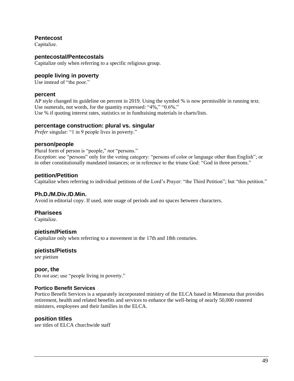## **Pentecost**

Capitalize.

#### **pentecostal/Pentecostals**

Capitalize only when referring to a specific religious group.

## **people living in poverty**

Use instead of "the poor."

#### **percent**

AP style changed its guideline on percent in 2019. Using the symbol % is now permissible in running text. Use numerals, not words, for the quantity expressed: "4%," "0.6%." Use % if quoting interest rates, statistics or in fundraising materials in charts/lists.

#### **percentage construction: plural vs. singular**

*Prefer* singular: "1 in 9 people lives in poverty."

#### **person/people**

Plural form of person is "people," *not* "persons."

*Exception*: use "persons" only for the voting category: "persons of color or language other than English"; or in other constitutionally mandated instances; or in reference to the triune God: "God in three persons."

#### **petition/Petition**

Capitalize when referring to individual petitions of the Lord's Prayer: "the Third Petition"; but "this petition."

## **Ph.D./M.Div./D.Min.**

Avoid in editorial copy. If used, note usage of periods and no spaces between characters.

#### **Pharisees**

Capitalize.

#### **pietism/Pietism**

Capitalize only when referring to a movement in the 17th and 18th centuries.

#### **pietists/Pietists**

*see* pietism

## **poor, the**

*Do not use*; use "people living in poverty."

#### **Portico Benefit Services**

Portico Benefit Services is a separately incorporated ministry of the ELCA based in Minnesota that provides retirement, health and related benefits and services to enhance the well-being of nearly 50,000 rostered ministers, employees and their families in the ELCA.

#### **position titles**

*see* titles of ELCA churchwide staff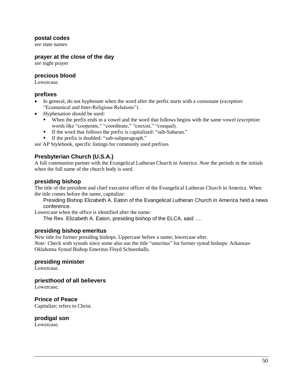#### **postal codes**

*see* state names

#### **prayer at the close of the day**

*see* night prayer

## **precious blood**

Lowercase.

#### **prefixes**

- In general, do not hyphenate when the word after the prefix starts with a consonant (*exception:*  "Ecumenical and Inter-Religious Relations").
- Hyphenation should be used:
	- When the prefix ends in a vowel and the word that follows begins with the same vowel (*exception*: words like "cooperate," "coordinate," "coexist," "coequal).
	- If the word that follows the prefix is capitalized: "sub-Saharan."
	- If the prefix is doubled: "sub-subparagraph."

*see* AP Stylebook*,* specific listings for commonly used prefixes

# **Presbyterian Church (U.S.A.)**

A full communion partner with the Evangelical Lutheran Church in America. *Note* the periods in the initials when the full name of the church body is used.

## **presiding bishop**

The title of the president and chief executive officer of the Evangelical Lutheran Church in America. When the title comes before the name, capitalize:

Presiding Bishop Elizabeth A. Eaton of the Evangelical Lutheran Church in America held a news conference.

Lowercase when the office is identified after the name:

The Rev. Elizabeth A. Eaton, presiding bishop of the ELCA, said ….

## **presiding bishop emeritus**

New title for former presiding bishops. Uppercase before a name; lowercase after. *Note:* Check with synods since some also use the title "emeritus" for former synod bishops: Arkansas-Oklahoma Synod Bishop Emeritus Floyd Schoenhalls.

## **presiding minister**

Lowercase.

**priesthood of all believers**

Lowercase.

**Prince of Peace** 

Capitalize; refers to Christ.

## **prodigal son**

Lowercase.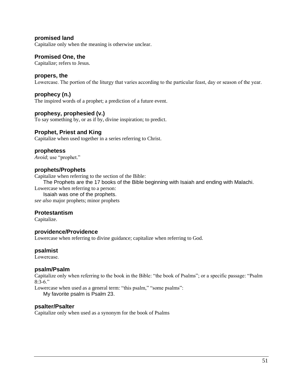**promised land** 

Capitalize only when the meaning is otherwise unclear.

#### **Promised One, the**

Capitalize; refers to Jesus.

#### **propers, the**

Lowercase. The portion of the liturgy that varies according to the particular feast, day or season of the year.

#### **prophecy (n.)**

The inspired words of a prophet; a prediction of a future event.

#### **prophesy, prophesied (v.)**

To say something by, or as if by, divine inspiration; to predict.

#### **Prophet, Priest and King**

Capitalize when used together in a series referring to Christ.

#### **prophetess**

*Avoid*; use "prophet."

#### **prophets/Prophets**

Capitalize when referring to the section of the Bible:

The Prophets are the 17 books of the Bible beginning with Isaiah and ending with Malachi.

Lowercase when referring to a person:

Isaiah was one of the prophets. *see also* major prophets; minor prophets

#### **Protestantism**

Capitalize.

#### **providence/Providence**

Lowercase when referring to divine guidance; capitalize when referring to God.

#### **psalmist**

Lowercase.

## **psalm/Psalm**

Capitalize only when referring to the book in the Bible: "the book of Psalms"; or a specific passage: "Psalm 8:3-6."

Lowercase when used as a general term: "this psalm," "some psalms": My favorite psalm is Psalm 23.

#### **psalter/Psalter**

Capitalize only when used as a synonym for the book of Psalms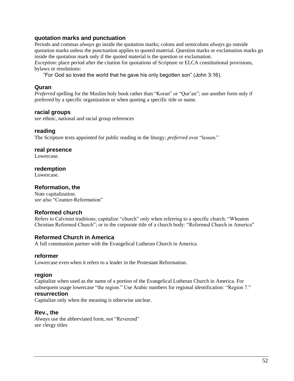## **quotation marks and punctuation**

Periods and commas *always* go inside the quotation marks; colons and semicolons *always* go outside quotation marks unless the punctuation applies to quoted material. Question marks or exclamation marks go inside the quotation mark only if the quoted material is the question or exclamation.

*Exception*: place period after the citation for quotations of Scripture or ELCA constitutional provisions, bylaws or resolutions:

"For God so loved the world that he gave his only begotten son" (John 3:16).

# **Quran**

*Preferred* spelling for the Muslim holy book rather than "Koran" or "Our'an"; use another form only if preferred by a specific organization or when quoting a specific title or name.

## **racial groups**

*see* ethnic, national and racial group references

## **reading**

The Scripture texts appointed for public reading in the liturgy; *preferred* over "lesson."

## **real presence**

Lowercase.

## **redemption**

Lowercase.

# **Reformation, the**

Note capitalization. *see also* "Counter-Reformation"

# **Reformed church**

Refers to Calvinist traditions; capitalize "church" only when referring to a specific church: "Wheaton Christian Reformed Church"; or to the corporate title of a church body: "Reformed Church in America"

# **Reformed Church in America**

A full communion partner with the Evangelical Lutheran Church in America

## **reformer**

Lowercase even when it refers to a leader in the Protestant Reformation.

## **region**

Capitalize when used as the name of a portion of the Evangelical Lutheran Church in America. For subsequent usage lowercase "the region." Use Arabic numbers for regional identification: "Region 7."

## **resurrection**

Capitalize only when the meaning is otherwise unclear.

## **Rev., the**

*Always* use the abbreviated form, *not* "Reverend" *see* clergy titles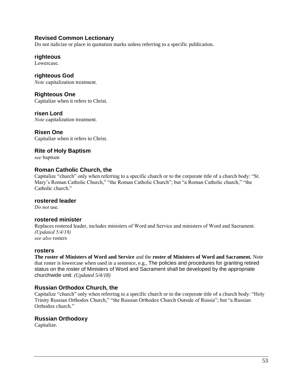# **Revised Common Lectionary**

Do not italicize or place in quotation marks unless referring to a specific publication.

## **righteous**

Lowercase.

**righteous God** *Note* capitalization treatment.

**Righteous One** Capitalize when it refers to Christ.

# **risen Lord**

*Note* capitalization treatment.

## **Risen One**

Capitalize when it refers to Christ.

**Rite of Holy Baptism** *see* baptism

# **Roman Catholic Church, the**

Capitalize "church" only when referring to a specific church or to the corporate title of a church body: "St. Mary's Roman Catholic Church," "the Roman Catholic Church"; but "a Roman Catholic church," "the Catholic church."

## **rostered leader**

*Do not* use.

# **rostered minister**

Replaces rostered leader, includes ministers of Word and Service and ministers of Word and Sacrament. *(Updated 5/4/18) see also* rosters

#### **rosters**

**The roster of Ministers of Word and Service** and the **roster of Ministers of Word and Sacrament.** Note that roster is lowercase when used in a sentence, e.g., The policies and procedures for granting retired status on the roster of Ministers of Word and Sacrament shall be developed by the appropriate churchwide unit. *(Updated 5/4/18)*

# **Russian Orthodox Church, the**

Capitalize "church" only when referring to a specific church or to the corporate title of a church body: "Holy Trinity Russian Orthodox Church," "the Russian Orthodox Church Outside of Russia"; but "a Russian Orthodox church."

# **Russian Orthodoxy**

Capitalize.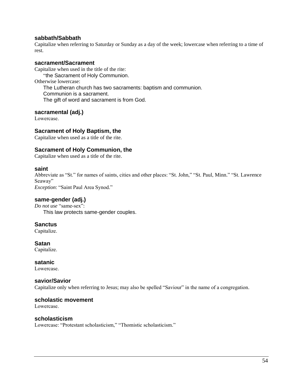## **sabbath/Sabbath**

Capitalize when referring to Saturday or Sunday as a day of the week; lowercase when referring to a time of rest.

#### **sacrament/Sacrament**

Capitalize when used in the title of the rite: "the Sacrament of Holy Communion. Otherwise lowercase: The Lutheran church has two sacraments: baptism and communion. Communion is a sacrament. The gift of word and sacrament is from God.

## **sacramental (adj.)**

Lowercase.

## **Sacrament of Holy Baptism, the**

Capitalize when used as a title of the rite.

## **Sacrament of Holy Communion, the**

Capitalize when used as a title of the rite.

#### **saint**

Abbreviate as "St." for names of saints, cities and other places: "St. John," "St. Paul, Minn." "St. Lawrence Seaway"

*Exception*: "Saint Paul Area Synod."

## **same-gender (adj.)**

*Do not use* "same-sex": This law protects same-gender couples.

## **Sanctus**

Capitalize.

**Satan** Capitalize.

#### **satanic**

Lowercase.

#### **savior/Savior**

Capitalize only when referring to Jesus; may also be spelled "Saviour" in the name of a congregation.

#### **scholastic movement**

Lowercase.

#### **scholasticism**

Lowercase: "Protestant scholasticism," "Thomistic scholasticism."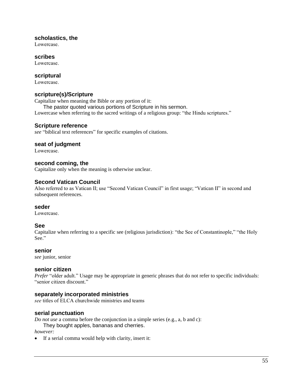## **scholastics, the**

Lowercase.

#### **scribes**

Lowercase.

## **scriptural**

Lowercase.

## **scripture(s)/Scripture**

Capitalize when meaning the Bible or any portion of it:

The pastor quoted various portions of Scripture in his sermon. Lowercase when referring to the sacred writings of a religious group: "the Hindu scriptures."

## **Scripture reference**

*see* "biblical text references" for specific examples of citations.

## **seat of judgment**

Lowercase.

## **second coming, the**

Capitalize only when the meaning is otherwise unclear.

# **Second Vatican Council**

Also referred to as Vatican II; use "Second Vatican Council" in first usage; "Vatican II" in second and subsequent references.

## **seder**

Lowercase.

## **See**

Capitalize when referring to a specific see (religious jurisdiction): "the See of Constantinople," "the Holy See."

## **senior**

*see* junior, senior

## **senior citizen**

*Prefer* "older adult." Usage may be appropriate in generic phrases that do not refer to specific individuals: "senior citizen discount."

## **separately incorporated ministries**

*see* titles of ELCA churchwide ministries and teams

## **serial punctuation**

*Do not use* a comma before the conjunction in a simple series (e.g., a, b and c):

They bought apples, bananas and cherries.

*however:*

• If a serial comma would help with clarity, insert it: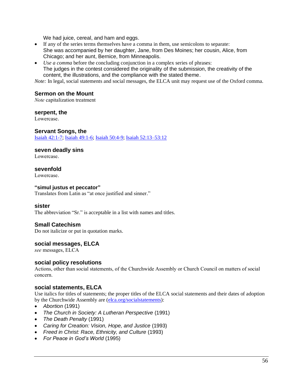We had juice, cereal, and ham and eggs.

- If any of the series terms themselves have a comma in them, use semicolons to separate: She was accompanied by her daughter, Jane, from Des Moines; her cousin, Alice, from Chicago; and her aunt, Bernice, from Minneapolis.
- *Use a comma* before the concluding conjunction in a complex series of phrases: The judges in the contest considered the originality of the submission, the creativity of the content, the illustrations, and the compliance with the stated theme.

*Note:* In legal, social statements and social messages, the ELCA unit may request use of the Oxford comma.

## **Sermon on the Mount**

*Note* capitalization treatment

#### **serpent, the**

Lowercase.

## **Servant Songs, the**

[Isaiah 42:1-7;](http://www.gospelcom.net/cgi-bin/bible?Isaiah+42:1-7) [Isaiah 49:1-6;](http://www.gospelcom.net/cgi-bin/bible?Isaiah+49:1-6) [Isaiah 50:4-9;](http://www.gospelcom.net/cgi-bin/bible?Isaiah+50:4-9) [Isaiah 52:13–53:12](http://www.gospelcom.net/cgi-bin/bible?Isaiah+52:13-53:12)

#### **seven deadly sins**

Lowercase.

## **sevenfold**

Lowercase.

#### **"simul justus et peccator"**

Translates from Latin as "at once justified and sinner."

## **sister**

The abbreviation "Sr." is acceptable in a list with names and titles.

# **Small Catechism**

Do not italicize or put in quotation marks.

## **social messages, ELCA**

*see* messages, ELCA

## **social policy resolutions**

Actions, other than social statements, of the Churchwide Assembly or Church Council on matters of social concern.

# **social statements, ELCA**

Use italics for titles of statements; the proper titles of the ELCA social statements and their dates of adoption by the Churchwide Assembly are [\(elca.org/socialstatements\)](http://elca.org/socialstatements):

- *Abortion* (1991)
- *The Church in Society: A Lutheran Perspective* (1991)
- *The Death Penalty* (1991)
- *Caring for Creation: Vision, Hope, and Justice* (1993)
- *Freed in Christ: Race, Ethnicity, and Culture* (1993)
- *For Peace in God's World* (1995)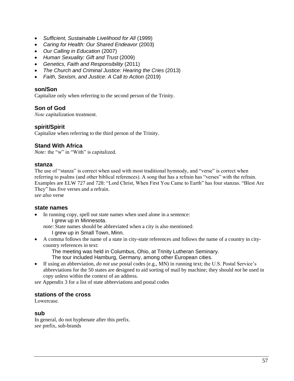- *Sufficient, Sustainable Livelihood for All* (1999)
- *Caring for Health: Our Shared Endeavor* (2003)
- *Our Calling in Education* (2007)
- *Human Sexuality: Gift and Trust* (2009)
- *Genetics, Faith and Responsibility* (2011)
- *The Church and Criminal Justice: Hearing the Cries* (2013)
- *Faith, Sexism, and Justice: A Call to Action* (2019)

#### **son/Son**

Capitalize only when referring to the second person of the Trinity.

## **Son of God**

*Note* capitalization treatment.

## **spirit/Spirit**

Capitalize when referring to the third person of the Trinity.

## **Stand With Africa**

*Note:* the "w" in "With" is capitalized.

#### **stanza**

The use of "stanza" is correct when used with most traditional hymnody, and "verse" is correct when referring to psalms (and other biblical references). A song that has a refrain has "verses" with the refrain. Examples are ELW 727 and 728: "Lord Christ, When First You Came to Earth" has four stanzas. "Blest Are They" has five verses and a refrain.

*see also* verse

## **state names**

In running copy, spell out state names when used alone in a sentence: I grew up in Minnesota.

*note*: State names should be abbreviated when a city is also mentioned:

I grew up in Small Town, Minn.

• A comma follows the name of a state in city-state references and follows the name of a country in citycountry references in text:

The meeting was held in Columbus, Ohio, at Trinity Lutheran Seminary.

- The tour included Hamburg, Germany, among other European cities.
- If using an abbreviation, *do not use* postal codes (e.g., MN) in running text; the U.S. Postal Service's abbreviations for the 50 states are designed to aid sorting of mail by machine; they should *not* be used in copy unless within the context of an address.

*see* Appendix 3 for a list of state abbreviations and postal codes

## **stations of the cross**

Lowercase.

#### **sub**

In general, do not hyphenate after this prefix. *see* prefix, sub-brands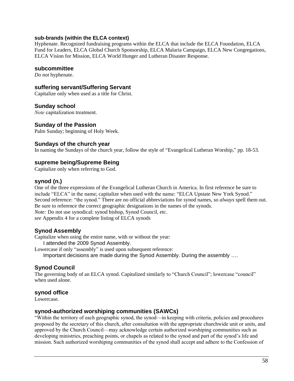## **sub-brands (within the ELCA context)**

Hyphenate. Recognized fundraising programs within the ELCA that include the ELCA Foundation, ELCA Fund for Leaders, ELCA Global Church Sponsorship, ELCA Malaria Campaign, ELCA New Congregations, ELCA Vision for Mission, ELCA World Hunger and Lutheran Disaster Response.

#### **subcommittee**

*Do not* hyphenate.

#### **suffering servant/Suffering Servant**

Capitalize only when used as a title for Christ.

## **Sunday school**

*Note* capitalization treatment.

## **Sunday of the Passion**

Palm Sunday; beginning of Holy Week.

## **Sundays of the church year**

In naming the Sundays of the church year, follow the style of "Evangelical Lutheran Worship," pp. 18-53.

## **supreme being/Supreme Being**

Capitalize only when referring to God.

## **synod (n.)**

One of the three expressions of the Evangelical Lutheran Church in America. In first reference be sure to include "ELCA" in the name; capitalize when used with the name: "ELCA Upstate New York Synod." Second reference: "the synod." There are no official abbreviations for synod names, so *always* spell them out. Be sure to reference the correct geographic designations in the names of the synods. *Note:* Do not use synodical: synod bishop, Synod Council, etc. *see* Appendix 4 for a complete listing of ELCA synods

## **Synod Assembly**

Capitalize when using the entire name, with or without the year: I attended the 2009 Synod Assembly.

Lowercase if only "assembly" is used upon subsequent reference: Important decisions are made during the Synod Assembly. During the assembly ….

# **Synod Council**

The governing body of an ELCA synod. Capitalized similarly to "Church Council"; lowercase "council" when used alone.

## **synod office**

Lowercase.

## **synod-authorized worshiping communities (SAWCs)**

"Within the territory of each geographic synod, the synod—in keeping with criteria, policies and procedures proposed by the secretary of this church, after consultation with the appropriate churchwide unit or units, and approved by the Church Council—may acknowledge certain authorized worshiping communities such as developing ministries, preaching points, or chapels as related to the synod and part of the synod's life and mission. Such authorized worshiping communities of the synod shall accept and adhere to the Confession of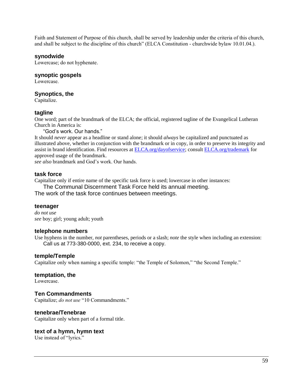Faith and Statement of Purpose of this church, shall be served by leadership under the criteria of this church, and shall be subject to the discipline of this church" (ELCA Constitution - churchwide bylaw 10.01.04.).

#### **synodwide**

Lowercase; do not hyphenate.

#### **synoptic gospels**

Lowercase.

#### **Synoptics, the**

Capitalize.

## **tagline**

One word; part of the brandmark of the ELCA; the official, registered tagline of the Evangelical Lutheran Church in America is:

"God's work. Our hands."

It should *never* appear as a headline or stand alone; it should *always* be capitalized and punctuated as illustrated above, whether in conjunction with the brandmark or in copy, in order to preserve its integrity and assist in brand identification. Find resources a[t ELCA.org/dayofservice;](http://elca.org/dayofservice) consult [ELCA.org/trademark](http://www.elca.org/trademark) for approved usage of the brandmark.

*see also* brandmark and God's work. Our hands.

#### **task force**

Capitalize only if entire name of the specific task force is used; lowercase in other instances:

The Communal Discernment Task Force held its annual meeting.

The work of the task force continues between meetings.

#### **teenager**

*do not use see* boy; girl; young adult; youth

#### **telephone numbers**

Use hyphens in the number, *not* parentheses, periods or a slash; *note* the style when including an extension: Call us at 773-380-0000, ext. 234, to receive a copy.

## **temple/Temple**

Capitalize only when naming a specific temple: "the Temple of Solomon," "the Second Temple."

#### **temptation, the**

Lowercase.

## **Ten Commandments**

Capitalize; *do not use* "10 Commandments."

## **tenebrae/Tenebrae**

Capitalize only when part of a formal title.

## **text of a hymn, hymn text**

Use instead of "lyrics."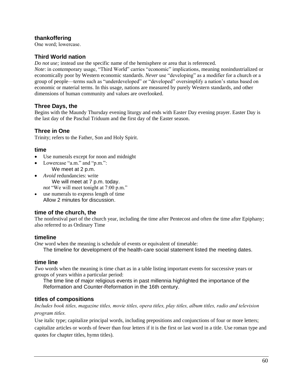# **thankoffering**

One word; lowercase.

## **Third World nation**

*Do not use;* instead use the specific name of the hemisphere or area that is referenced.

*Note*: in contemporary usage, "Third World" carries "economic" implications, meaning nonindustrialized or economically poor by Western economic standards. *Never* use "developing" as a modifier for a church or a group of people—terms such as "underdeveloped" or "developed" oversimplify a nation's status based on economic or material terms. In this usage, nations are measured by purely Western standards, and other dimensions of human community and values are overlooked.

## **Three Days, the**

Begins with the Maundy Thursday evening liturgy and ends with Easter Day evening prayer. Easter Day is the last day of the Paschal Triduum and the first day of the Easter season.

# **Three in One**

Trinity; refers to the Father, Son and Holy Spirit.

## **time**

- Use numerals except for noon and midnight
- Lowercase "a.m." and "p.m.": We meet at 2 p.m.
- *Avoid* redundancies: write We will meet at 7 p.m. today. *not* "We will meet tonight at 7:00 p.m."
- use numerals to express length of time Allow 2 minutes for discussion.

# **time of the church, the**

The nonfestival part of the church year, including the time after Pentecost and often the time after Epiphany; also referred to as Ordinary Time

## **timeline**

*One* word when the meaning is schedule of events or equivalent of timetable:

The timeline for development of the health-care social statement listed the meeting dates.

## **time line**

*Two* words when the meaning is time chart as in a table listing important events for successive years or groups of years within a particular period:

The time line of major religious events in past millennia highlighted the importance of the Reformation and Counter-Reformation in the 16th century.

## **titles of compositions**

*Includes book titles, magazine titles, movie titles, opera titles, play titles, album titles, radio and television program titles.*

Use italic type; capitalize principal words, including prepositions and conjunctions of four or more letters; capitalize articles or words of fewer than four letters if it is the first or last word in a title. Use roman type and quotes for chapter titles, hymn titles).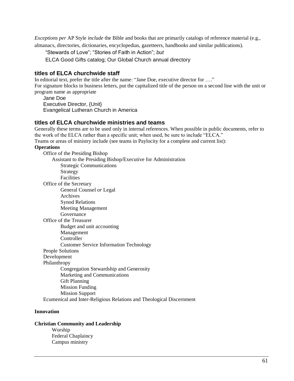*Exceptions per* AP Style *include* the Bible and books that are primarily catalogs of reference material (e.g., almanacs, directories, dictionaries, encyclopedias, gazetteers, handbooks and similar publications).

"Stewards of Love"; "Stories of Faith in Action"; *but*

ELCA Good Gifts catalog; Our Global Church annual directory

#### **titles of ELCA churchwide staff**

In editorial text, prefer the title after the name: "Jane Doe, executive director for …." For signature blocks in business letters, put the capitalized title of the person on a second line with the unit or program name as appropriate

Jane Doe Executive Director, {Unit} Evangelical Lutheran Church in America

## **titles of ELCA churchwide ministries and teams**

Generally these terms are to be used only in internal references. When possible in public documents, refer to the work of the ELCA rather than a specific unit; when used, be sure to include "ELCA."

Teams or areas of ministry include (see teams in Paylocity for a complete and current list):

#### **Operations**

Office of the Presiding Bishop Assistant to the Presiding Bishop/Executive for Administration Strategic Communications Strategy Facilities Office of the Secretary General Counsel *or* Legal Archives Synod Relations Meeting Management Governance Office of the Treasurer Budget and unit accounting Management Controller Customer Service Information Technology People Solutions Development Philanthropy Congregation Stewardship and Generosity Marketing and Communications Gift Planning Mission Funding Mission Support Ecumenical and Inter-Religious Relations and Theological Discernment

#### **Innovation**

#### **Christian Community and Leadership**

Worship Federal Chaplaincy Campus ministry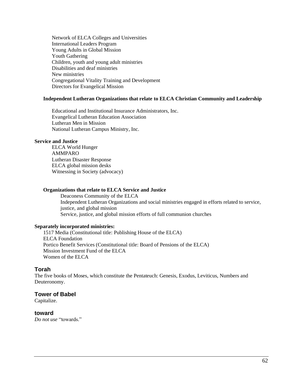Network of ELCA Colleges and Universities International Leaders Program Young Adults in Global Mission Youth Gathering Children, youth and young adult ministries Disabilities and deaf ministries New ministries Congregational Vitality Training and Development Directors for Evangelical Mission

#### **Independent Lutheran Organizations that relate to ELCA Christian Community and Leadership**

Educational and Institutional Insurance Administrators, Inc. Evangelical Lutheran Education Association Lutheran Men in Mission National Lutheran Campus Ministry, Inc.

#### **Service and Justice**

ELCA World Hunger AMMPARO Lutheran Disaster Response ELCA global mission desks Witnessing in Society (advocacy)

#### **Organizations that relate to ELCA Service and Justice**

Deaconess Community of the ELCA Independent Lutheran Organizations and social ministries engaged in efforts related to service, justice, and global mission Service, justice, and global mission efforts of full communion churches

#### **Separately incorporated ministries:**

1517 Media (Constitutional title: Publishing House of the ELCA) ELCA Foundation Portico Benefit Services (Constitutional title: Board of Pensions of the ELCA) Mission Investment Fund of the ELCA Women of the ELCA

#### **Torah**

The five books of Moses, which constitute the Pentateuch: Genesis, Exodus, Leviticus, Numbers and Deuteronomy.

## **Tower of Babel**

Capitalize.

## **toward**

*Do not use* "towards."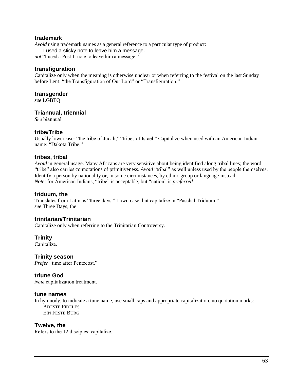## **trademark**

*Avoid* using trademark names as a general reference to a particular type of product:

I used a sticky note to leave him a message.

*not* "I used a Post-It note to leave him a message."

#### **transfiguration**

Capitalize only when the meaning is otherwise unclear or when referring to the festival on the last Sunday before Lent: "the Transfiguration of Our Lord" or "Transfiguration."

#### **transgender**

*see* LGBTQ

## **Triannual, triennial**

*See* biannual

## **tribe/Tribe**

Usually lowercase: "the tribe of Judah," "tribes of Israel." Capitalize when used with an American Indian name: "Dakota Tribe."

## **tribes, tribal**

*Avoid* in general usage. Many Africans are very sensitive about being identified along tribal lines; the word "tribe" also carries connotations of primitiveness. *Avoid* "tribal" as well unless used by the people themselves. Identify a person by nationality or, in some circumstances, by ethnic group or language instead. *Note*: for American Indians, "tribe" is acceptable, but "nation" is *preferred.*

#### **triduum, the**

Translates from Latin as "three days." Lowercase, but capitalize in "Paschal Triduum." *see* Three Days, the

## **trinitarian/Trinitarian**

Capitalize only when referring to the Trinitarian Controversy.

## **Trinity**

Capitalize.

## **Trinity season**

*Prefer* "time after Pentecost."

# **triune God**

*Note* capitalization treatment.

#### **tune names**

In hymnody, to indicate a tune name, use small caps and appropriate capitalization, no quotation marks: ADESTE FIDELES EIN FESTE BURG

#### **Twelve, the**

Refers to the 12 disciples; capitalize.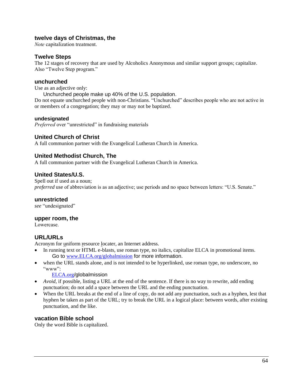# **twelve days of Christmas, the**

*Note* capitalization treatment.

## **Twelve Steps**

The 12 stages of recovery that are used by Alcoholics Anonymous and similar support groups; capitalize. Also "Twelve Step program."

## **unchurched**

Use as an adjective only:

Unchurched people make up 40% of the U.S. population.

Do not equate unchurched people with non-Christians. "Unchurched" describes people who are not active in or members of a congregation; they may or may not be baptized.

## **undesignated**

*Preferred* over "unrestricted" in fundraising materials

# **United Church of Christ**

A full communion partner with the Evangelical Lutheran Church in America.

# **United Methodist Church, The**

A full communion partner with the Evangelical Lutheran Church in America.

# **United States/U.S.**

Spell out if used as a noun; *preferred* use of abbreviation is as an adjective; use periods and no space between letters: "U.S. Senate."

## **unrestricted**

*see* "undesignated"

## **upper room, the**

Lowercase.

# **URL/URLs**

Acronym for uniform resource locater, an Internet address.

- In running text or HTML e-blasts, use roman type, no italics, capitalize ELCA in promotional items. Go to [www.ELCA.org/globalmission](http://www.elca.org/globalmission) for more information.
- when the URL stands alone, and is not intended to be hyperlinked, use roman type, no underscore, no "www":

[ELCA.org](http://elca.org/)/globalmission

- *Avoid*, if possible, listing a URL at the end of the sentence. If there is no way to rewrite, add ending punctuation; do not add a space between the URL and the ending punctuation.
- When the URL breaks at the end of a line of copy, do not add any punctuation, such as a hyphen, lest that hyphen be taken as part of the URL; try to break the URL in a logical place: between words, after existing punctuation, and the like.

# **vacation Bible school**

Only the word Bible is capitalized.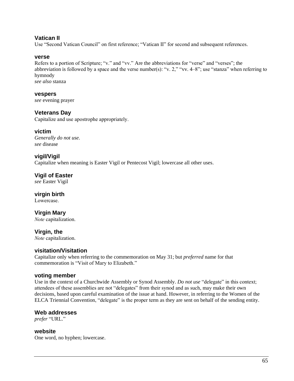## **Vatican II**

Use "Second Vatican Council" on first reference; "Vatican II" for second and subsequent references.

#### **verse**

Refers to a portion of Scripture; "v." and "vv." Are the abbreviations for "verse" and "verses"; the abbreviation is followed by a space and the verse number(s): "v. 2," "vv. 4–8"; use "stanza" when referring to hymnody *see also* stanza

**vespers** 

*see* evening prayer

## **Veterans Day**

Capitalize and use apostrophe appropriately.

## **victim**

*Generally do not use. see* disease

## **vigil/Vigil**

Capitalize when meaning is Easter Vigil or Pentecost Vigil; lowercase all other uses.

**Vigil of Easter** *see* Easter Vigil

**virgin birth**  Lowercase.

**Virgin Mary**  *Note* capitalization.

**Virgin, the**  *Note* capitalization.

## **visitation/Visitation**

Capitalize only when referring to the commemoration on May 31; but *preferred* name for that commemoration is "Visit of Mary to Elizabeth."

## **voting member**

Use in the context of a Churchwide Assembly or Synod Assembly. *Do not use* "delegate" in this context; attendees of these assemblies are not "delegates" from their synod and as such, may make their own decisions, based upon careful examination of the issue at hand. However, in referring to the Women of the ELCA Triennial Convention, "delegate" is the proper term as they are sent on behalf of the sending entity.

## **Web addresses**

*prefer* "URL."

**website** One word, no hyphen; lowercase.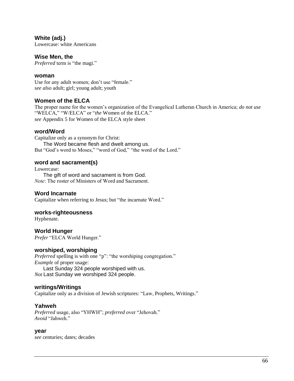## **White (adj.)**

Lowercase: white Americans

#### **Wise Men, the**

*Preferred* term is "the magi."

#### **woman**

Use for any adult women; don't use "female." *see also* adult; girl; young adult; youth

# **Women of the ELCA**

The proper name for the women's organization of the Evangelical Lutheran Church in America; *do not use* "WELCA," "W/ELCA" or "*the* Women of the ELCA." *see* Appendix 5 for Women of the ELCA style sheet

#### **word/Word**

Capitalize only as a synonym for Christ: The Word became flesh and dwelt among us. But "God's word to Moses," "word of God," "the word of the Lord."

## **word and sacrament(s)**

Lowercase:

The gift of word and sacrament is from God. *Note*: The roster of Ministers of Word and Sacrament.

## **Word Incarnate**

Capitalize when referring to Jesus; but "the incarnate Word."

#### **works-righteousness**

Hyphenate.

## **World Hunger**

*Prefer* "ELCA World Hunger."

## **worshiped, worshiping**

*Preferred* spelling is with one "p": "the worshiping congregation." *Example* of proper usage: Last Sunday 324 people worshiped with us.

*Not* Last Sunday we worshiped 324 people.

## **writings/Writings**

Capitalize only as a division of Jewish scriptures: "Law, Prophets, Writings."

## **Yahweh**

*Preferred* usage, also "YHWH"; *preferred* over "Jehovah." *Avoid* "Jahweh."

#### **year**

*see* centuries; dates; decades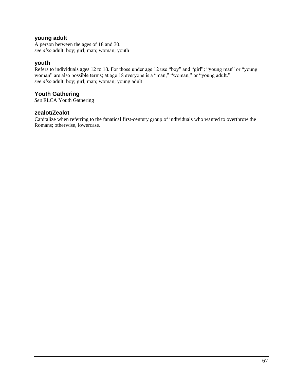# **young adult**

A person between the ages of 18 and 30. *see also* adult; boy; girl; man; woman; youth

## **youth**

Refers to individuals ages 12 to 18. For those under age 12 use "boy" and "girl"; "young man" or "young woman" are also possible terms; at age 18 everyone is a "man," "woman," or "young adult." *see also* adult; boy; girl; man; woman; young adult

# **Youth Gathering**

*See* ELCA Youth Gathering

#### **zealot/Zealot**

Capitalize when referring to the fanatical first-century group of individuals who wanted to overthrow the Romans; otherwise, lowercase.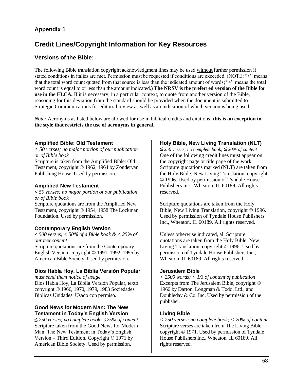# **Appendix 1**

# **Credit Lines/Copyright Information for Key Resources**

# **Versions of the Bible:**

The following Bible translation copyright acknowledgment lines may be used without further permission if stated conditions in italics are met. Permission must be requested if conditions are exceeded. (NOTE: "<" means that the total word count quoted from that source is less than the indicated amount of words; "≤" means the total word count is equal to or less than the amount indicated.) **The NRSV is the preferred version of the Bible for use in the ELCA.** If it is necessary, in a particular context, to quote from another version of the Bible, reasoning for this deviation from the standard should be provided when the document is submitted to Strategic Communications for editorial review as well as an indication of which version is being used.

*Note:* Acronyms as listed below are allowed for use in biblical credits and citations; **this is an exception to the style that restricts the use of acronyms in general.**

## **Amplified Bible: Old Testament**

*< 50 verses; no major portion of our publication or of Bible book* Scripture is taken from the Amplified Bible: Old Testament, copyright © 1962, 1964 by Zondervan Publishing House. Used by permission.

## **Amplified New Testament**

< *50 verses; no major portion of our publication or of Bible book* Scripture quotations are from the Amplified New Testament, copyright © 1954, 1958 The Lockman Foundation. Used by permission.

# **Contemporary English Version**

**<** *500 verses; < 50% of a Bible book & < 25% of our text content* Scripture quotations are from the Contemporary English Version, copyright © 1991, 1992, 1995 by American Bible Society. Used by permission.

# **Dios Habla Hoy, La Biblia Versión Popular**

*must send them notice of usage* Dios Habla Hoy, La Biblia Versión Popular, texto copyright © 1966, 1970, 1979, 1983 Sociedades Biblicas Unidades. Usado con permiso.

## **Good News for Modern Man: The New Testament in Today's English Version**

**≤** *250 verses; no complete book; <25% of content* Scripture taken from the Good News for Modern Man: The New Testament in Today's English Version – Third Edition*.* Copyright © 1971 by American Bible Society. Used by permission.

# **Holy Bible, New Living Translation (NLT)**

*≤ 250 verses; no complete book; ≤ 20% of content* One of the following credit lines must appear on the copyright page or title page of the work: Scripture quotations marked (NLT) are taken from the Holy Bible, New Living Translation, copyright © 1996. Used by permission of Tyndale House Publishers Inc., Wheaton, IL 60189. All rights reserved.

Scripture quotations are taken from the Holy Bible, New Living Translation, copyright © 1996. Used by permission of Tyndale House Publishers Inc., Wheaton, IL 60189. All rights reserved.

Unless otherwise indicated, all Scripture quotations are taken from the Holy Bible, New Living Translation, copyright © 1996. Used by permission of Tyndale House Publishers Inc., Wheaton, IL 60189. All rights reserved.

## **Jerusalem Bible**

*< 2500 words; < 1/3 of content of publication* Excerpts from The Jerusalem Bible, copyright © 1966 by Darton, Longman & Todd, Ltd., and Doubleday & Co. Inc. Used by permission of the publisher.

# **Living Bible**

*< 250 verses; no complete book; < 20% of content* Scripture verses are taken from The Living Bible, copyright © 1971. Used by permission of Tyndale House Publishers Inc., Wheaton, IL 60189. All rights reserved.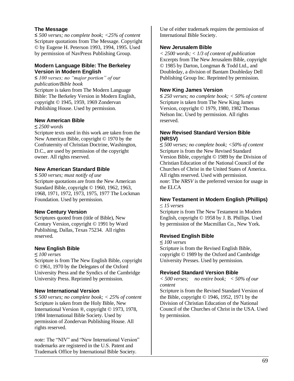## **The Message**

≤ *500 verses; no complete book; <25% of content* Scripture quotations from The Message*.* Copyright © by Eugene H. Peterson 1993, 1994, 1995. Used by permission of NavPress Publishing Group.

## **Modern Language Bible: The Berkeley Version in Modern English**

≤ *100 verses; no "major portion" of our publication/Bible book* Scripture is taken from The Modern Language Bible: The Berkeley Version in Modern English, copyright © 1945, 1959, 1969 Zondervan Publishing House. Used by permission.

## **New American Bible**

**≤** *2500 words*

Scripture texts used in this work are taken from the New American Bible, copyright © 1970 by the Confraternity of Christian Doctrine, Washington, D.C., are used by permission of the copyright owner. All rights reserved.

# **New American Standard Bible**

≤ *500 verses; must notify of use* Scripture quotations are from the New American Standard Bible, copyright © 1960, 1962, 1963, 1968, 1971, 1972, 1973, 1975, 1977 The Lockman Foundation. Used by permission.

## **New Century Version**

Scriptures quoted from (title of Bible), New Century Version, copyright © 1991 by Word Publishing, Dallas, Texas 75234. All rights reserved.

## **New English Bible**

**≤** *100 verses*

Scripture is from The New English Bible, copyright © 1961, 1970 by the Delegates of the Oxford University Press and the Syndics of the Cambridge University Press. Reprinted by permission.

# **New International Version**

≤ *500 verses; no complete book; < 25% of content* Scripture is taken from the Holy Bible, New International Version ®, copyright © 1973, 1978, 1984 International Bible Society. Used by permission of Zondervan Publishing House. All rights reserved.

*note:* The "NIV" and "New International Version" trademarks are registered in the U.S. Patent and Trademark Office by International Bible Society.

Use of either trademark requires the permission of International Bible Society.

#### **New Jerusalem Bible**

*< 2500 words; < 1/3 of content of publication* Excerpts from The New Jerusalem Bible, copyright © 1985 by Darton, Longman & Todd Ltd., and Doubleday, a division of Bantam Doubleday Dell Publishing Group Inc. Reprinted by permission.

## **New King James Version**

≤ *250 verses; no complete book; < 50% of content* Scripture is taken from The New King James Version, copyright © 1979, 1980, 1982 Thomas Nelson Inc. Used by permission. All rights reserved.

#### **New Revised Standard Version Bible (NRSV)**

**≤** *500 verses; no complete book; <50% of content* Scripture is from the New Revised Standard Version Bible, copyright © 1989 by the Division of Christian Education of the National Council of the Churches of Christ in the United States of America. All rights reserved. Used with permission. *note*: The *NRSV* is the preferred version for usage in the ELCA

# **New Testament in Modern English (Phillips)**

≤ *15 verses*

Scripture is from The New Testament in Modern English, copyright © 1958 by J. B. Phillips. Used by permission of the Macmillan Co., New York.

## **Revised English Bible**

**≤** *100 verses* Scripture is from the Revised English Bible, copyright © 1989 by the Oxford and Cambridge University Presses. Used by permission.

## **Revised Standard Version Bible**

*< 500 verses; no entire book; < 50% of our content*

Scripture is from the Revised Standard Version of the Bible, copyright  $\odot$  1946, 1952, 1971 by the Division of Christian Education of the National Council of the Churches of Christ in the USA. Used by permission.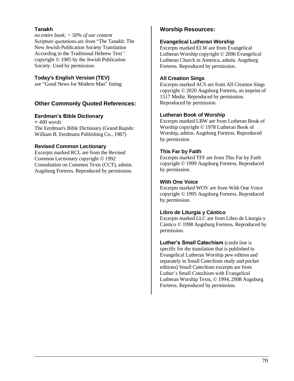# **Tanakh**

*no entire book; < 50% of our content* Scripture quotations are from "The Tanakh: The New Jewish Publication Society Translation According to the Traditional Hebrew Text*"* copyright © 1985 by the Jewish Publication Society. Used by permission.

#### **Today's English Version (TEV)**

*see* "Good News for Modern Man" listing

# **Other Commonly Quoted References:**

## **Eerdman's Bible Dictionary**

< *400 words* The Eerdman's Bible Dictionary (Grand Rapids: William B. Eerdmans Publishing Co., 1987)

#### **Revised Common Lectionary**

Excerpts marked RCL are from the Revised Common Lectionary copyright © 1992 Consultation on Common Texts (CCT), admin. Augsburg Fortress. Reproduced by permission.

# **Worship Resources:**

#### **Evangelical Lutheran Worship**

Excerpts marked ELW are from Evangelical Lutheran Worship copyright © 2006 Evangelical Lutheran Church in America, admin. Augsburg Fortress. Reproduced by permission.

#### **All Creation Sings**

Excerpts marked ACS are from All Creation Sings copyright © 2020 Augsburg Fortress, an imprint of 1517 Media. Reproduced by permission. Reproduced by permission.

#### **Lutheran Book of Worship**

Excerpts marked LBW are from Lutheran Book of Worship copyright © 1978 Lutheran Book of Worship, admin. Augsburg Fortress. Reproduced by permission.

#### **This Far by Faith**

Excerpts marked TFF are from This Far by Faith copyright © 1999 Augsburg Fortress. Reproduced by permission.

#### **With One Voice**

Excerpts marked WOV are from With One Voice copyright © 1995 Augsburg Fortress. Reproduced by permission.

#### **Libro de Liturgia y Cántico**

Excerpts marked LLC are from Libro de Liturgia y Cántico © 1998 Augsburg Fortress. Reproduced by permission*.*

**Luther's Small Catechism** (credit line is specific for the translation that is published in Evangelical Lutheran Worship pew edition and separately in Small Catechism study and pocket editions) Small Catechism excerpts are from Luther's Small Catechism with Evangelical Lutheran Worship Texts, © 1994, 2008 Augsburg Fortress. Reproduced by permission.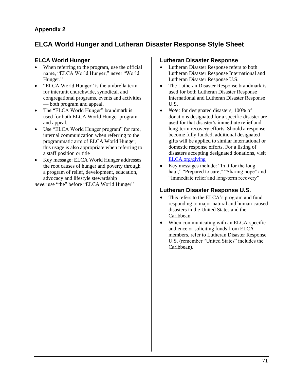# **Appendix 2**

# **ELCA World Hunger and Lutheran Disaster Response Style Sheet**

# **ELCA World Hunger**

- When referring to the program, use the official name, "ELCA World Hunger," never "World Hunger."
- "ELCA World Hunger" is the umbrella term for interunit churchwide, synodical, and congregational programs, events and activities — both program and appeal.
- The "ELCA World Hunger" brandmark is used for both ELCA World Hunger program and appeal.
- Use "ELCA World Hunger program" for rare, internal communication when referring to the programmatic arm of ELCA World Hunger; this usage is also appropriate when referring to a staff position or title
- Key message: ELCA World Hunger addresses the root causes of hunger and poverty through a program of relief, development, education, advocacy and lifestyle stewardship

*never* use "the" before "ELCA World Hunger"

# **Lutheran Disaster Response**

- Lutheran Disaster Response refers to both Lutheran Disaster Response International and Lutheran Disaster Response U.S.
- The Lutheran Disaster Response brandmark is used for both Lutheran Disaster Response International and Lutheran Disaster Response U.S.
- *Note:* for designated disasters, 100% of donations designated for a specific disaster are used for that disaster's immediate relief and long-term recovery efforts. Should a response become fully funded, additional designated gifts will be applied to similar international or domestic response efforts. For a listing of disasters accepting designated donations, visit [ELCA.org/giving](http://www.elca.org/giving)
- Key messages include: "In it for the long haul," "Prepared to care," "Sharing hope" and "Immediate relief and long-term recovery"

# **Lutheran Disaster Response U.S.**

- This refers to the ELCA's program and fund responding to major natural and human-caused disasters in the United States and the Caribbean.
- When communicating with an ELCA-specific audience or soliciting funds from ELCA members, refer to Lutheran Disaster Response U.S. (remember "United States" includes the Caribbean).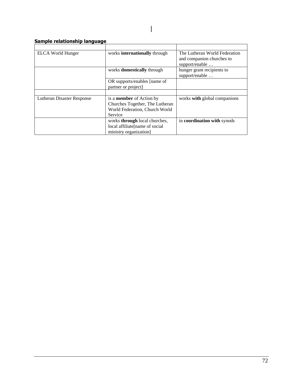# **Sample relationship language**

| ELCA World Hunger          | works <b>internationally</b> through | The Lutheran World Federation      |
|----------------------------|--------------------------------------|------------------------------------|
|                            |                                      | and companion churches to          |
|                            |                                      | support/enable                     |
|                            | works <b>domestically</b> through    | hunger grant recipients to         |
|                            |                                      | support/enable                     |
|                            | OR supports/enables [name of         |                                    |
|                            | partner or project]                  |                                    |
|                            |                                      |                                    |
| Lutheran Disaster Response | is a <b>member</b> of Action by      | works with global companions       |
|                            | Churches Together, The Lutheran      |                                    |
|                            | World Federation, Church World       |                                    |
|                            | Service                              |                                    |
|                            | works <b>through</b> local churches, | in <b>coordination</b> with synods |
|                            | local affiliate[name of social       |                                    |
|                            | ministry organization                |                                    |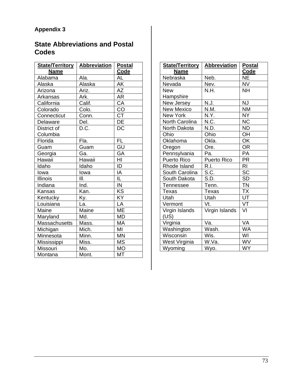# **Appendix 3**

# **State Abbreviations and Postal Codes**

| State/Territory<br><b>Name</b> | <b>Abbreviation</b> | <b>Postal</b><br>Code    |
|--------------------------------|---------------------|--------------------------|
| Alabama                        | Ala.                | AL                       |
| Alaska                         | Alaska              | AK                       |
| Arizona                        | Ariz.               | AZ                       |
| Arkansas                       | Ark.                | AR                       |
| California                     | Calif.              | CA                       |
| Colorado                       | Colo.               | CO                       |
| Connecticut                    | Conn.               | $\overline{\text{CT}}$   |
| Delaware                       | Del.                | DE                       |
| District of                    | D.C.                | DC                       |
| Columbia                       |                     |                          |
| Florida                        | Fla.                | <b>FL</b>                |
| Guam                           | Guam                | GU                       |
| Georgia                        | Ga.                 | GA                       |
| Hawaii                         | Hawaii              | ĪΗI                      |
| Idaho                          | Idaho               | $\overline{\mathsf{ID}}$ |
| lowa                           | lowa                | IA                       |
| <b>Illinois</b>                | III.                | $\overline{\mathsf{IL}}$ |
| Indiana                        | Ind.                | IN                       |
| Kansas                         | Kan.                | <b>KS</b>                |
| Kentucky                       | Ку <u>.</u>         | ΚY                       |
| Louisiana                      | La.                 | LA                       |
| Maine                          | Maine               | <b>ME</b>                |
| Maryland                       | Md.                 | MD                       |
| Massachusetts                  | Mass.               | MA                       |
| Michigan                       | Mich.               | MI                       |
| Minnesota                      | Minn.               | <b>MN</b>                |
| Mississippi                    | Miss.               | <b>MS</b>                |
| Missouri                       | Mo.                 | <b>MO</b>                |
| Montana                        | Mont.               | МT                       |

| State/Territory<br><b>Name</b> | <b>Abbreviation</b>                   | <b>Postal</b><br>Code |
|--------------------------------|---------------------------------------|-----------------------|
| Nebraska                       | Neb.                                  | NE.                   |
| Nevada                         | Nev.                                  | <b>NV</b>             |
| <b>New</b>                     | N.H.                                  | <b>NH</b>             |
| Hampshire                      |                                       |                       |
| New Jersey                     | N.J.                                  | <b>NJ</b>             |
| <b>New Mexico</b>              | N.M.                                  | <b>NM</b>             |
| <b>New York</b>                | N.Y.                                  | <b>NY</b>             |
| North Carolina                 | N.C.                                  | <b>NC</b>             |
| North Dakota                   | N.D.                                  | <b>ND</b>             |
| Ohio                           | Ohio                                  | OH                    |
| Oklahoma                       | Okla.                                 | OK                    |
| Oregon                         | Ore.                                  | <b>OR</b>             |
| Pennsylvania                   | Pa.                                   | <b>PA</b>             |
| Puerto Rico                    | <b>Puerto Rico</b>                    | <b>PR</b>             |
| Rhode Island                   | R.I.                                  | RI                    |
| South Carolina                 | $\underline{\mathsf{S}.\mathsf{C}}$ . | <b>SC</b>             |
| South Dakota                   | S.D.                                  | <b>SD</b>             |
| Tennessee                      | Tenn.                                 | <b>TN</b>             |
| <b>Texas</b>                   | Texas                                 | <b>TX</b>             |
| Utah                           | Utah                                  | UT                    |
| Vermont                        | Vt.                                   | VT                    |
| Virgin Islands                 | Virgin Islands                        | VI                    |
| (US)                           |                                       |                       |
| Virginia                       | Va.                                   | VA                    |
| Washington                     | Wash.                                 | <b>WA</b>             |
| Wisconsin                      | Wis.                                  | WI                    |
| West Virginia                  | W.Va.                                 | <b>WV</b>             |
| Wyoming                        | Wyo.                                  | <b>WY</b>             |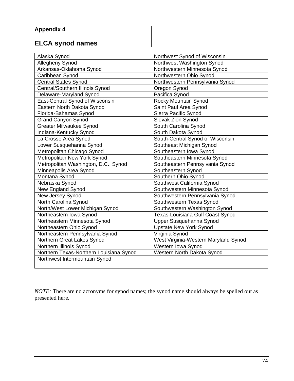# **ELCA synod names**

| Alaska Synod                            | Northwest Synod of Wisconsin         |  |
|-----------------------------------------|--------------------------------------|--|
| Allegheny Synod                         | Northwest Washington Synod           |  |
| Arkansas-Oklahoma Synod                 | Northwestern Minnesota Synod         |  |
| Caribbean Synod                         | Northwestern Ohio Synod              |  |
| <b>Central States Synod</b>             | Northwestern Pennsylvania Synod      |  |
| Central/Southern Illinois Synod         | Oregon Synod                         |  |
| Delaware-Maryland Synod                 | Pacifica Synod                       |  |
| East-Central Synod of Wisconsin         | Rocky Mountain Synod                 |  |
| Eastern North Dakota Synod              | Saint Paul Area Synod                |  |
| Florida-Bahamas Synod                   | Sierra Pacific Synod                 |  |
| <b>Grand Canyon Synod</b>               | Slovak Zion Synod                    |  |
| <b>Greater Milwaukee Synod</b>          | South Carolina Synod                 |  |
| Indiana-Kentucky Synod                  | South Dakota Synod                   |  |
| La Crosse Area Synod                    | South-Central Synod of Wisconsin     |  |
| Lower Susquehanna Synod                 | Southeast Michigan Synod             |  |
| Metropolitan Chicago Synod              | Southeastern Iowa Synod              |  |
| Metropolitan New York Synod             | Southeastern Minnesota Synod         |  |
| Metropolitan Washington, D.C., Synod    | Southeastern Pennsylvania Synod      |  |
| Minneapolis Area Synod                  | Southeastern Synod                   |  |
| Montana Synod                           | Southern Ohio Synod                  |  |
| Nebraska Synod                          | Southwest California Synod           |  |
| New England Synod                       | Southwestern Minnesota Synod         |  |
| New Jersey Synod                        | Southwestern Pennsylvania Synod      |  |
| North Carolina Synod                    | Southwestern Texas Synod             |  |
| North/West Lower Michigan Synod         | Southwestern Washington Synod        |  |
| Northeastern Iowa Synod                 | Texas-Louisiana Gulf Coast Synod     |  |
| Northeastern Minnesota Synod            | Upper Susquehanna Synod              |  |
| Northeastern Ohio Synod                 | <b>Upstate New York Synod</b>        |  |
| Northeastern Pennsylvania Synod         | Virginia Synod                       |  |
| Northern Great Lakes Synod              | West Virginia-Western Maryland Synod |  |
| Northern Illinois Synod                 | Western Iowa Synod                   |  |
| Northern Texas-Northern Louisiana Synod | Western North Dakota Synod           |  |
| Northwest Intermountain Synod           |                                      |  |
|                                         |                                      |  |

*NOTE:* There are no acronyms for synod names; the synod name should always be spelled out as presented here.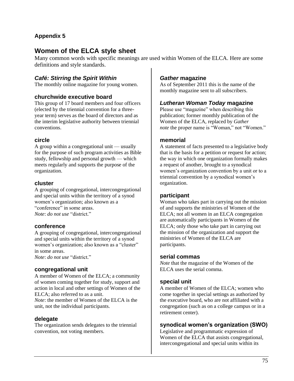# **Appendix 5**

# **Women of the ELCA style sheet**

Many common words with specific meanings are used within Women of the ELCA. Here are some definitions and style standards.

# *Café: Stirring the Spirit Within*

The monthly online magazine for young women.

### **churchwide executive board**

This group of 17 board members and four officers (elected by the triennial convention for a threeyear term) serves as the board of directors and as the interim legislative authority between triennial conventions.

## **circle**

A group within a congregational unit — usually for the purpose of such program activities as Bible study, fellowship and personal growth — which meets regularly and supports the purpose of the organization.

### **cluster**

A grouping of congregational, intercongregational and special units within the territory of a synod women's organization; also known as a "conference" in some areas. *Note*: *do not use* "district."

### **conference**

A grouping of congregational, intercongregational and special units within the territory of a synod women's organization; also known as a "cluster" in some areas.

*Note*: *do not use* "district."

### **congregational unit**

A member of Women of the ELCA; a community of women coming together for study, support and action in local and other settings of Women of the ELCA; also referred to as a unit.

*Note*: the member of Women of the ELCA is the unit, not the individual participants.

### **delegate**

The organization sends delegates to the triennial convention, not voting members.

## *Gather* **magazine**

As of September 2011 this is the name of the monthly magazine sent to all subscribers.

## *Lutheran Woman Today* **magazine**

Please use "magazine" when describing this publication; former monthly publication of the Women of the ELCA, replaced by *Gather note* the proper name is "Woman," not "Women."

### **memorial**

A statement of facts presented to a legislative body that is the basis for a petition or request for action; the way in which one organization formally makes a request of another, brought to a synodical women's organization convention by a unit or to a triennial convention by a synodical women's organization.

### **participant**

Woman who takes part in carrying out the mission of and supports the ministries of Women of the ELCA; not all women in an ELCA congregation are automatically participants in Women of the ELCA; only those who take part in carrying out the mission of the organization and support the ministries of Women of the ELCA are participants.

#### **serial commas**

*Note* that the magazine of the Women of the ELCA uses the serial comma.

### **special unit**

A member of Women of the ELCA; women who come together in special settings as authorized by the executive board, who are not affiliated with a congregation (such as on a college campus or in a retirement center).

### **synodical women's organization (SWO)**

Legislative and programmatic expression of Women of the ELCA that assists congregational, intercongregational and special units within its